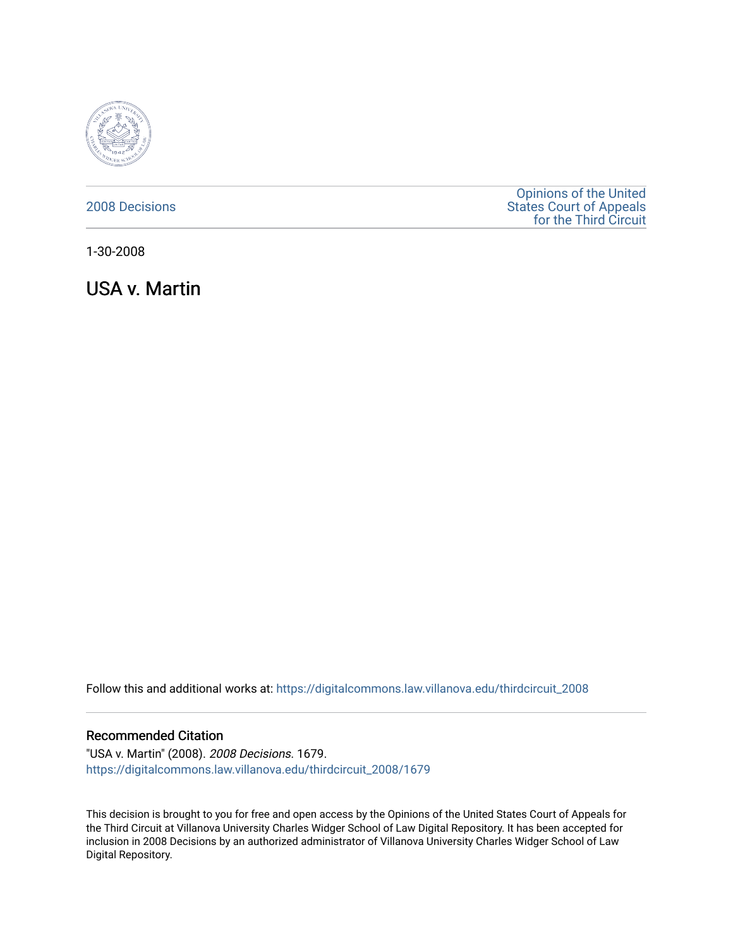

## [2008 Decisions](https://digitalcommons.law.villanova.edu/thirdcircuit_2008)

[Opinions of the United](https://digitalcommons.law.villanova.edu/thirdcircuit)  [States Court of Appeals](https://digitalcommons.law.villanova.edu/thirdcircuit)  [for the Third Circuit](https://digitalcommons.law.villanova.edu/thirdcircuit) 

1-30-2008

USA v. Martin

Follow this and additional works at: [https://digitalcommons.law.villanova.edu/thirdcircuit\\_2008](https://digitalcommons.law.villanova.edu/thirdcircuit_2008?utm_source=digitalcommons.law.villanova.edu%2Fthirdcircuit_2008%2F1679&utm_medium=PDF&utm_campaign=PDFCoverPages) 

## Recommended Citation

"USA v. Martin" (2008). 2008 Decisions. 1679. [https://digitalcommons.law.villanova.edu/thirdcircuit\\_2008/1679](https://digitalcommons.law.villanova.edu/thirdcircuit_2008/1679?utm_source=digitalcommons.law.villanova.edu%2Fthirdcircuit_2008%2F1679&utm_medium=PDF&utm_campaign=PDFCoverPages) 

This decision is brought to you for free and open access by the Opinions of the United States Court of Appeals for the Third Circuit at Villanova University Charles Widger School of Law Digital Repository. It has been accepted for inclusion in 2008 Decisions by an authorized administrator of Villanova University Charles Widger School of Law Digital Repository.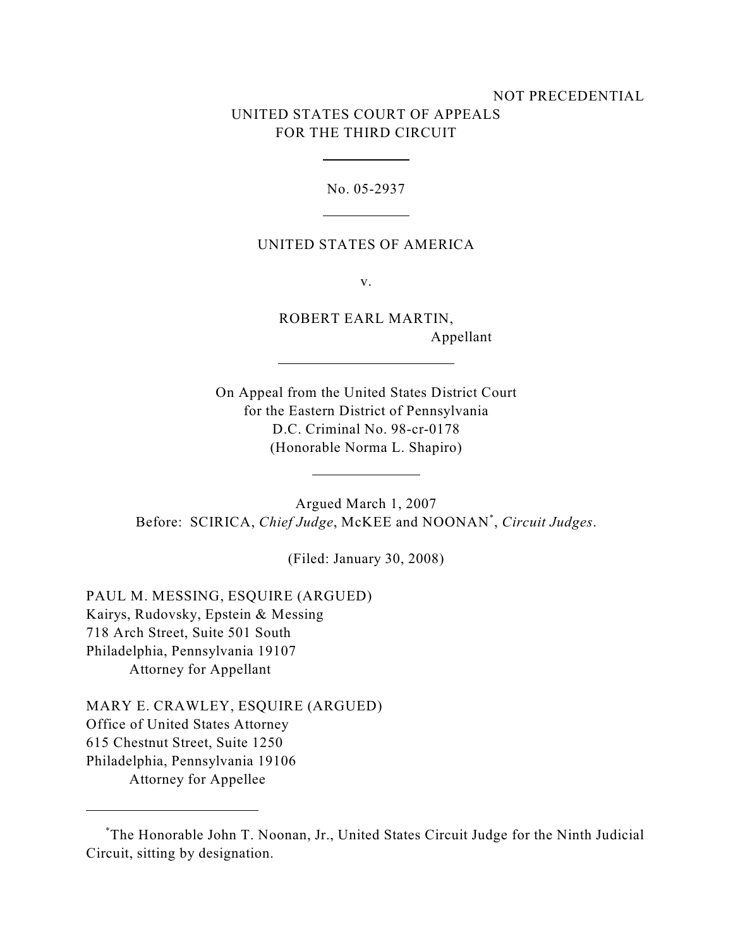# NOT PRECEDENTIAL UNITED STATES COURT OF APPEALS FOR THE THIRD CIRCUIT

No. 05-2937

## UNITED STATES OF AMERICA

v.

ROBERT EARL MARTIN, Appellant

On Appeal from the United States District Court for the Eastern District of Pennsylvania D.C. Criminal No. 98-cr-0178 (Honorable Norma L. Shapiro)

Argued March 1, 2007 Before: SCIRICA, *Chief Judge*, McKEE and NOONAN<sup>\*</sup>, *Circuit Judges*.

(Filed: January 30, 2008)

PAUL M. MESSING, ESQUIRE (ARGUED) Kairys, Rudovsky, Epstein & Messing 718 Arch Street, Suite 501 South Philadelphia, Pennsylvania 19107 Attorney for Appellant

MARY E. CRAWLEY, ESQUIRE (ARGUED) Office of United States Attorney 615 Chestnut Street, Suite 1250 Philadelphia, Pennsylvania 19106 Attorney for Appellee

The Honorable John T. Noonan, Jr., United States Circuit Judge for the Ninth Judicial \* Circuit, sitting by designation.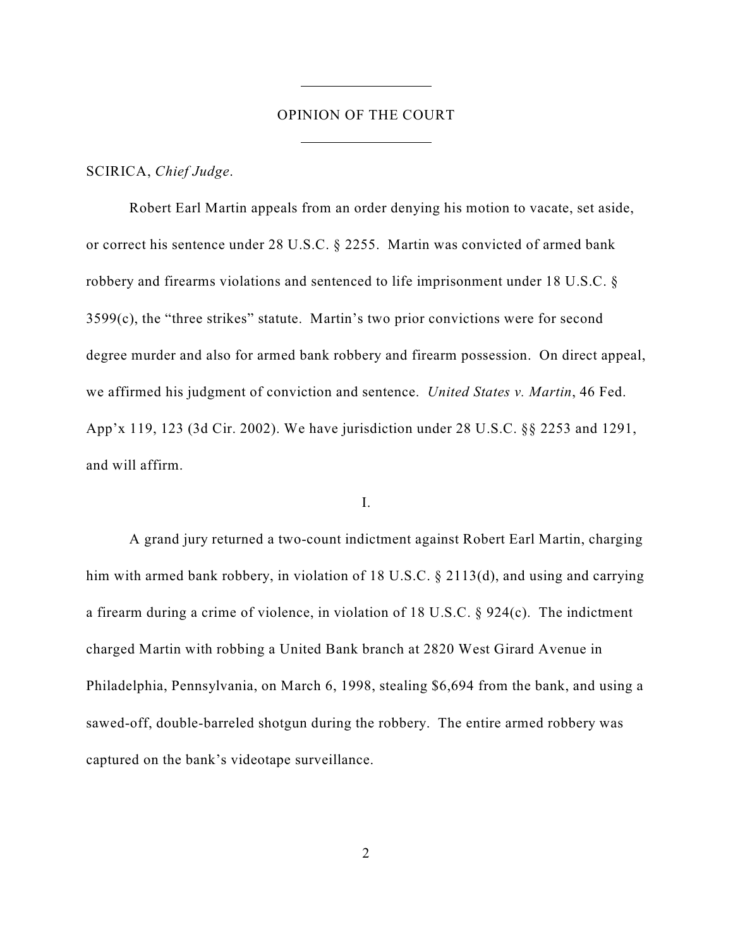### OPINION OF THE COURT

SCIRICA, *Chief Judge*.

Robert Earl Martin appeals from an order denying his motion to vacate, set aside, or correct his sentence under 28 U.S.C. § 2255. Martin was convicted of armed bank robbery and firearms violations and sentenced to life imprisonment under 18 U.S.C. § 3599(c), the "three strikes" statute. Martin's two prior convictions were for second degree murder and also for armed bank robbery and firearm possession. On direct appeal, we affirmed his judgment of conviction and sentence. *United States v. Martin*, 46 Fed. App'x 119, 123 (3d Cir. 2002). We have jurisdiction under 28 U.S.C. §§ 2253 and 1291, and will affirm.

I.

A grand jury returned a two-count indictment against Robert Earl Martin, charging him with armed bank robbery, in violation of 18 U.S.C. § 2113(d), and using and carrying a firearm during a crime of violence, in violation of 18 U.S.C. § 924(c). The indictment charged Martin with robbing a United Bank branch at 2820 West Girard Avenue in Philadelphia, Pennsylvania, on March 6, 1998, stealing \$6,694 from the bank, and using a sawed-off, double-barreled shotgun during the robbery. The entire armed robbery was captured on the bank's videotape surveillance.

2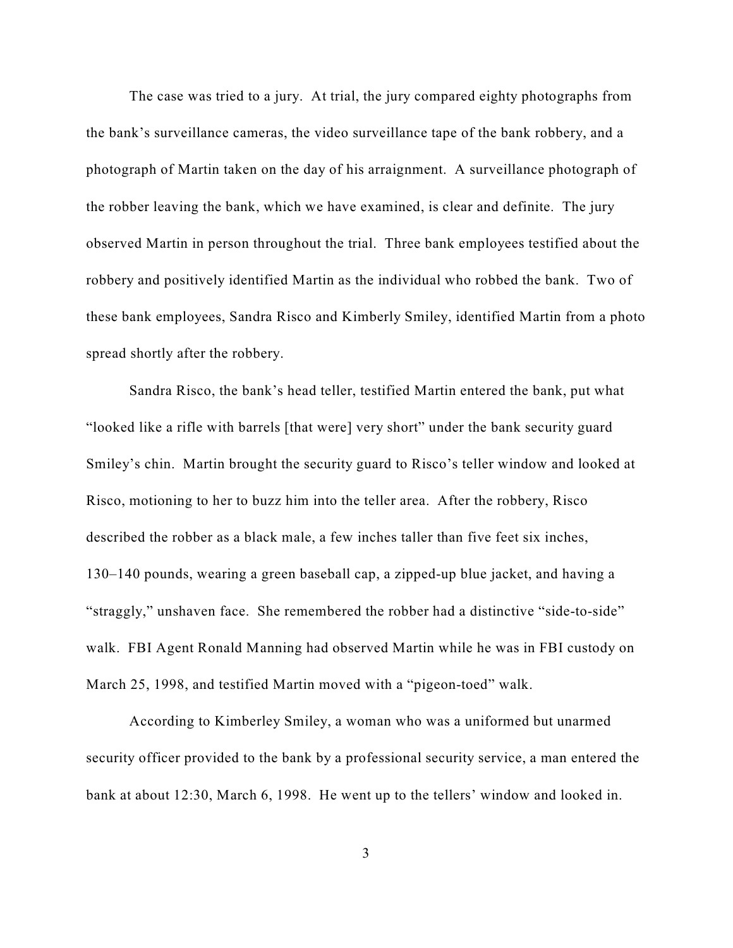The case was tried to a jury. At trial, the jury compared eighty photographs from the bank's surveillance cameras, the video surveillance tape of the bank robbery, and a photograph of Martin taken on the day of his arraignment. A surveillance photograph of the robber leaving the bank, which we have examined, is clear and definite. The jury observed Martin in person throughout the trial. Three bank employees testified about the robbery and positively identified Martin as the individual who robbed the bank. Two of these bank employees, Sandra Risco and Kimberly Smiley, identified Martin from a photo spread shortly after the robbery.

Sandra Risco, the bank's head teller, testified Martin entered the bank, put what "looked like a rifle with barrels [that were] very short" under the bank security guard Smiley's chin. Martin brought the security guard to Risco's teller window and looked at Risco, motioning to her to buzz him into the teller area. After the robbery, Risco described the robber as a black male, a few inches taller than five feet six inches, 130–140 pounds, wearing a green baseball cap, a zipped-up blue jacket, and having a "straggly," unshaven face. She remembered the robber had a distinctive "side-to-side" walk. FBI Agent Ronald Manning had observed Martin while he was in FBI custody on March 25, 1998, and testified Martin moved with a "pigeon-toed" walk.

According to Kimberley Smiley, a woman who was a uniformed but unarmed security officer provided to the bank by a professional security service, a man entered the bank at about 12:30, March 6, 1998. He went up to the tellers' window and looked in.

3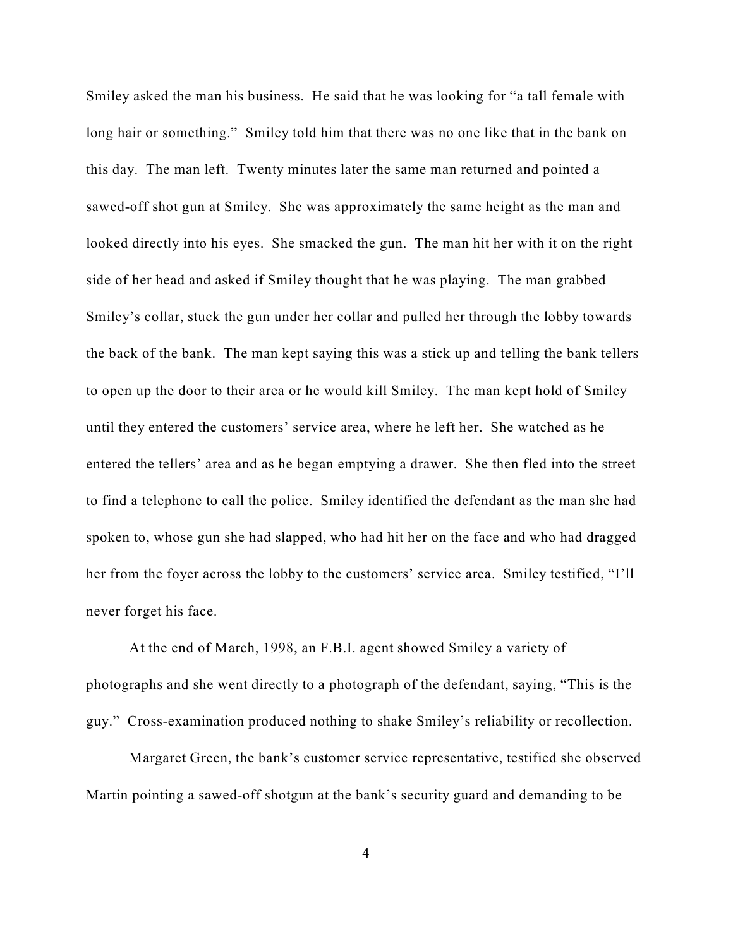Smiley asked the man his business. He said that he was looking for "a tall female with long hair or something." Smiley told him that there was no one like that in the bank on this day. The man left. Twenty minutes later the same man returned and pointed a sawed-off shot gun at Smiley. She was approximately the same height as the man and looked directly into his eyes. She smacked the gun. The man hit her with it on the right side of her head and asked if Smiley thought that he was playing. The man grabbed Smiley's collar, stuck the gun under her collar and pulled her through the lobby towards the back of the bank. The man kept saying this was a stick up and telling the bank tellers to open up the door to their area or he would kill Smiley. The man kept hold of Smiley until they entered the customers' service area, where he left her. She watched as he entered the tellers' area and as he began emptying a drawer. She then fled into the street to find a telephone to call the police. Smiley identified the defendant as the man she had spoken to, whose gun she had slapped, who had hit her on the face and who had dragged her from the foyer across the lobby to the customers' service area. Smiley testified, "I'll never forget his face.

At the end of March, 1998, an F.B.I. agent showed Smiley a variety of photographs and she went directly to a photograph of the defendant, saying, "This is the guy." Cross-examination produced nothing to shake Smiley's reliability or recollection.

Margaret Green, the bank's customer service representative, testified she observed Martin pointing a sawed-off shotgun at the bank's security guard and demanding to be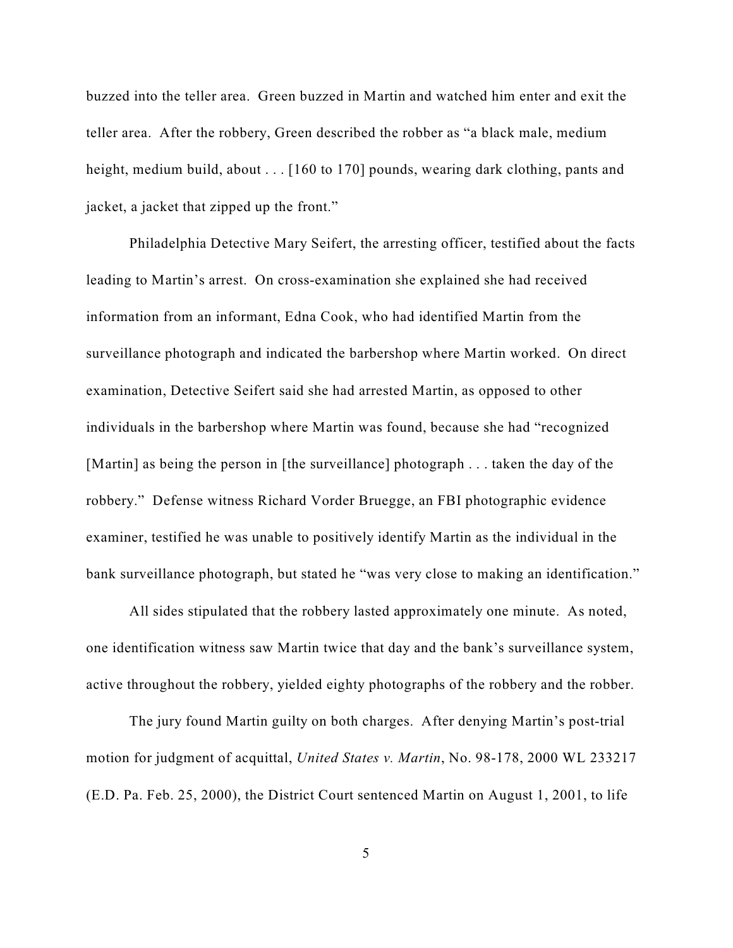buzzed into the teller area. Green buzzed in Martin and watched him enter and exit the teller area. After the robbery, Green described the robber as "a black male, medium height, medium build, about . . . [160 to 170] pounds, wearing dark clothing, pants and jacket, a jacket that zipped up the front."

Philadelphia Detective Mary Seifert, the arresting officer, testified about the facts leading to Martin's arrest. On cross-examination she explained she had received information from an informant, Edna Cook, who had identified Martin from the surveillance photograph and indicated the barbershop where Martin worked. On direct examination, Detective Seifert said she had arrested Martin, as opposed to other individuals in the barbershop where Martin was found, because she had "recognized [Martin] as being the person in [the surveillance] photograph . . . taken the day of the robbery." Defense witness Richard Vorder Bruegge, an FBI photographic evidence examiner, testified he was unable to positively identify Martin as the individual in the bank surveillance photograph, but stated he "was very close to making an identification."

All sides stipulated that the robbery lasted approximately one minute. As noted, one identification witness saw Martin twice that day and the bank's surveillance system, active throughout the robbery, yielded eighty photographs of the robbery and the robber.

The jury found Martin guilty on both charges. After denying Martin's post-trial motion for judgment of acquittal, *United States v. Martin*, No. 98-178, 2000 WL 233217 (E.D. Pa. Feb. 25, 2000), the District Court sentenced Martin on August 1, 2001, to life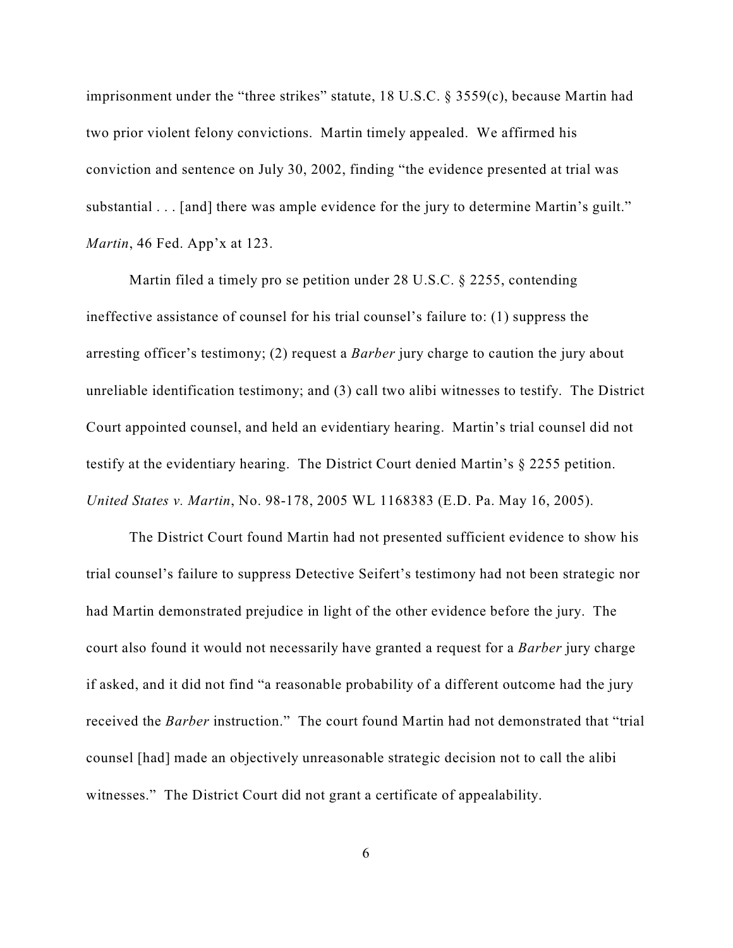imprisonment under the "three strikes" statute, 18 U.S.C. § 3559(c), because Martin had two prior violent felony convictions. Martin timely appealed. We affirmed his conviction and sentence on July 30, 2002, finding "the evidence presented at trial was substantial . . . [and] there was ample evidence for the jury to determine Martin's guilt." *Martin*, 46 Fed. App'x at 123.

Martin filed a timely pro se petition under 28 U.S.C. § 2255, contending ineffective assistance of counsel for his trial counsel's failure to: (1) suppress the arresting officer's testimony; (2) request a *Barber* jury charge to caution the jury about unreliable identification testimony; and (3) call two alibi witnesses to testify. The District Court appointed counsel, and held an evidentiary hearing. Martin's trial counsel did not testify at the evidentiary hearing. The District Court denied Martin's § 2255 petition. *United States v. Martin*, No. 98-178, 2005 WL 1168383 (E.D. Pa. May 16, 2005).

The District Court found Martin had not presented sufficient evidence to show his trial counsel's failure to suppress Detective Seifert's testimony had not been strategic nor had Martin demonstrated prejudice in light of the other evidence before the jury. The court also found it would not necessarily have granted a request for a *Barber* jury charge if asked, and it did not find "a reasonable probability of a different outcome had the jury received the *Barber* instruction." The court found Martin had not demonstrated that "trial counsel [had] made an objectively unreasonable strategic decision not to call the alibi witnesses." The District Court did not grant a certificate of appealability.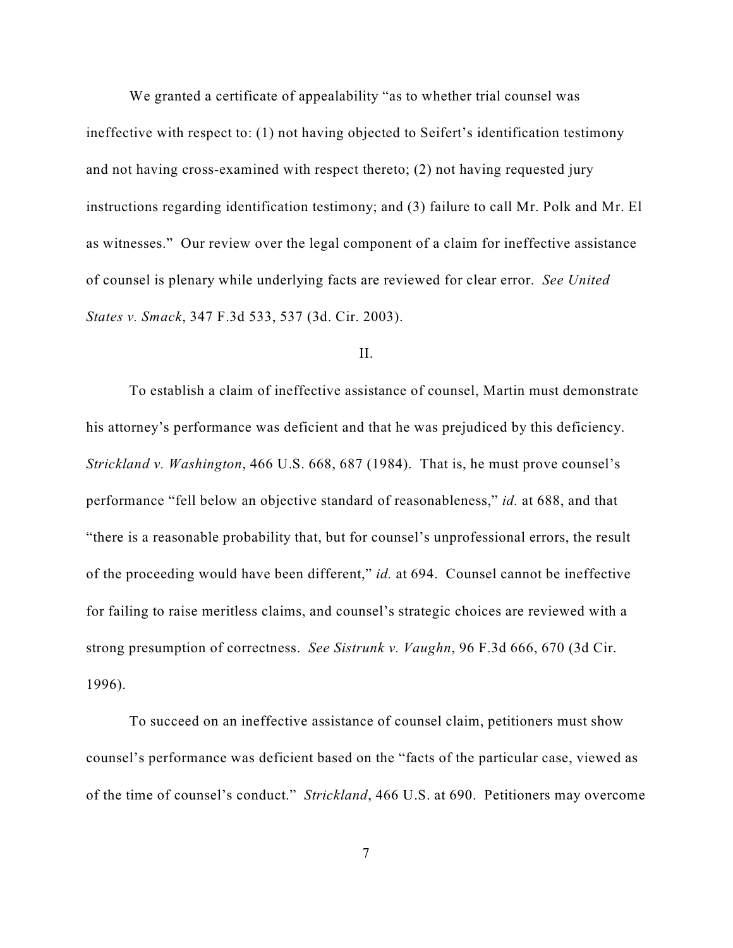We granted a certificate of appealability "as to whether trial counsel was ineffective with respect to: (1) not having objected to Seifert's identification testimony and not having cross-examined with respect thereto; (2) not having requested jury instructions regarding identification testimony; and (3) failure to call Mr. Polk and Mr. El as witnesses." Our review over the legal component of a claim for ineffective assistance of counsel is plenary while underlying facts are reviewed for clear error. *See United States v. Smack*, 347 F.3d 533, 537 (3d. Cir. 2003).

#### II.

To establish a claim of ineffective assistance of counsel, Martin must demonstrate his attorney's performance was deficient and that he was prejudiced by this deficiency. *Strickland v. Washington*, 466 U.S. 668, 687 (1984). That is, he must prove counsel's performance "fell below an objective standard of reasonableness," *id.* at 688, and that "there is a reasonable probability that, but for counsel's unprofessional errors, the result of the proceeding would have been different," *id.* at 694. Counsel cannot be ineffective for failing to raise meritless claims, and counsel's strategic choices are reviewed with a strong presumption of correctness. *See Sistrunk v. Vaughn*, 96 F.3d 666, 670 (3d Cir. 1996).

To succeed on an ineffective assistance of counsel claim, petitioners must show counsel's performance was deficient based on the "facts of the particular case, viewed as of the time of counsel's conduct." *Strickland*, 466 U.S. at 690. Petitioners may overcome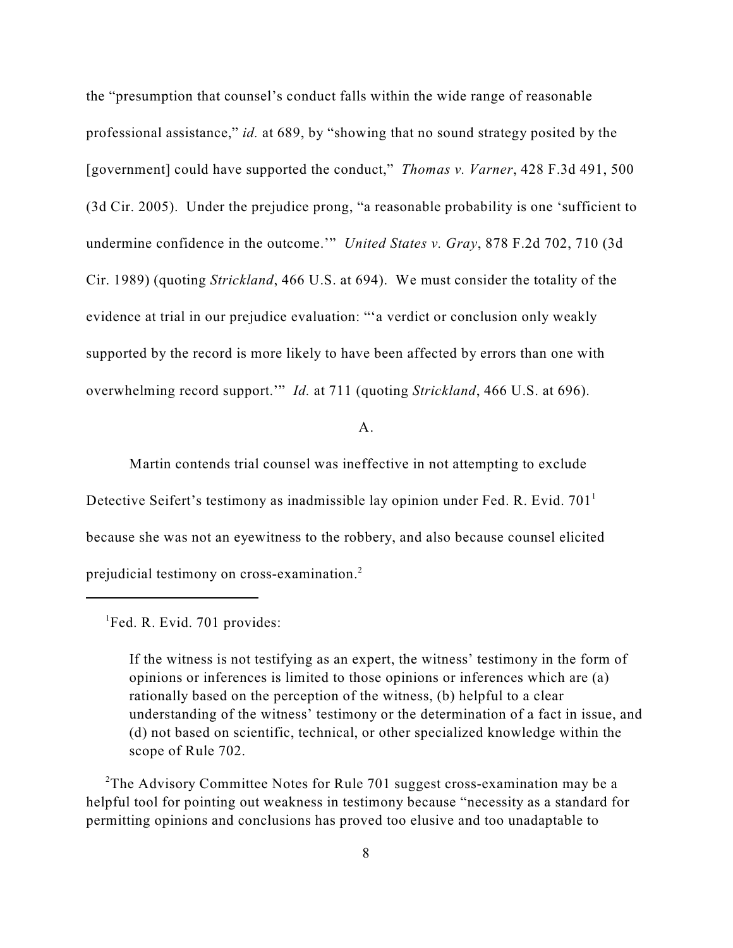the "presumption that counsel's conduct falls within the wide range of reasonable professional assistance," *id.* at 689, by "showing that no sound strategy posited by the [government] could have supported the conduct," *Thomas v. Varner*, 428 F.3d 491, 500 (3d Cir. 2005). Under the prejudice prong, "a reasonable probability is one 'sufficient to undermine confidence in the outcome.'" *United States v. Gray*, 878 F.2d 702, 710 (3d Cir. 1989) (quoting *Strickland*, 466 U.S. at 694). We must consider the totality of the evidence at trial in our prejudice evaluation: "'a verdict or conclusion only weakly supported by the record is more likely to have been affected by errors than one with overwhelming record support.'" *Id.* at 711 (quoting *Strickland*, 466 U.S. at 696).

 $A<sub>1</sub>$ 

Martin contends trial counsel was ineffective in not attempting to exclude Detective Seifert's testimony as inadmissible lay opinion under Fed. R. Evid.  $701<sup>1</sup>$ because she was not an eyewitness to the robbery, and also because counsel elicited prejudicial testimony on cross-examination.<sup>2</sup>

 ${}^{1}$ Fed. R. Evid. 701 provides:

If the witness is not testifying as an expert, the witness' testimony in the form of opinions or inferences is limited to those opinions or inferences which are (a) rationally based on the perception of the witness, (b) helpful to a clear understanding of the witness' testimony or the determination of a fact in issue, and (d) not based on scientific, technical, or other specialized knowledge within the scope of Rule 702.

<sup>2</sup>The Advisory Committee Notes for Rule 701 suggest cross-examination may be a helpful tool for pointing out weakness in testimony because "necessity as a standard for permitting opinions and conclusions has proved too elusive and too unadaptable to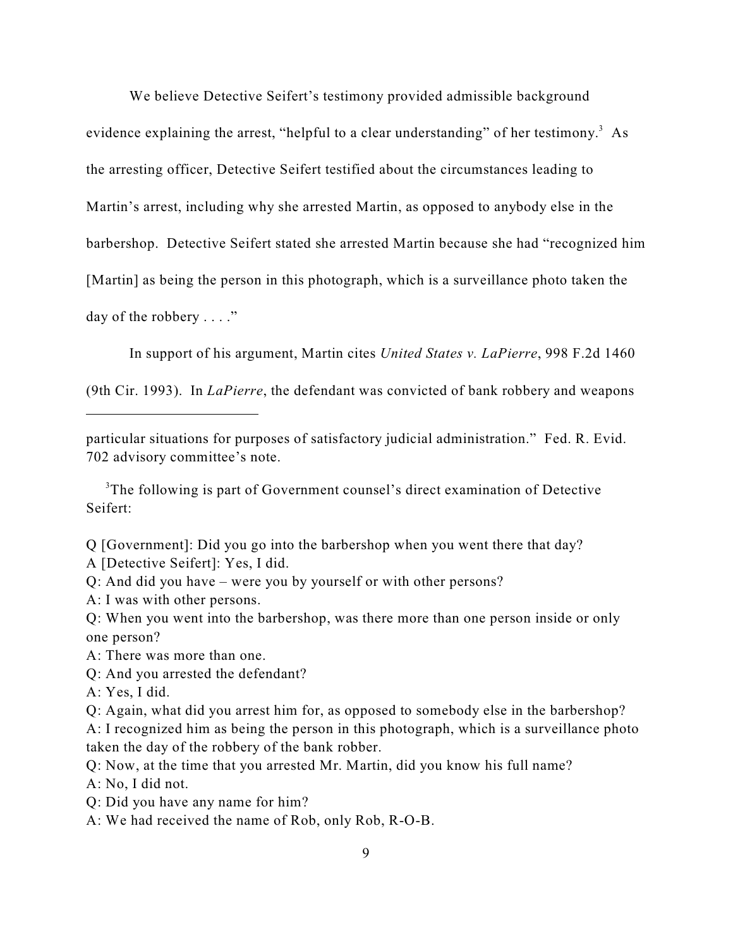We believe Detective Seifert's testimony provided admissible background

evidence explaining the arrest, "helpful to a clear understanding" of her testimony. $3$  As the arresting officer, Detective Seifert testified about the circumstances leading to Martin's arrest, including why she arrested Martin, as opposed to anybody else in the barbershop. Detective Seifert stated she arrested Martin because she had "recognized him [Martin] as being the person in this photograph, which is a surveillance photo taken the day of the robbery . . . ."

In support of his argument, Martin cites *United States v. LaPierre*, 998 F.2d 1460

(9th Cir. 1993). In *LaPierre*, the defendant was convicted of bank robbery and weapons

particular situations for purposes of satisfactory judicial administration." Fed. R. Evid. 702 advisory committee's note.

<sup>3</sup>The following is part of Government counsel's direct examination of Detective Seifert:

Q [Government]: Did you go into the barbershop when you went there that day?

A [Detective Seifert]: Yes, I did.

Q: And did you have – were you by yourself or with other persons?

A: I was with other persons.

Q: When you went into the barbershop, was there more than one person inside or only one person?

A: There was more than one.

Q: And you arrested the defendant?

A: Yes, I did.

Q: Again, what did you arrest him for, as opposed to somebody else in the barbershop?

A: I recognized him as being the person in this photograph, which is a surveillance photo taken the day of the robbery of the bank robber.

Q: Now, at the time that you arrested Mr. Martin, did you know his full name?

A: No, I did not.

Q: Did you have any name for him?

A: We had received the name of Rob, only Rob, R-O-B.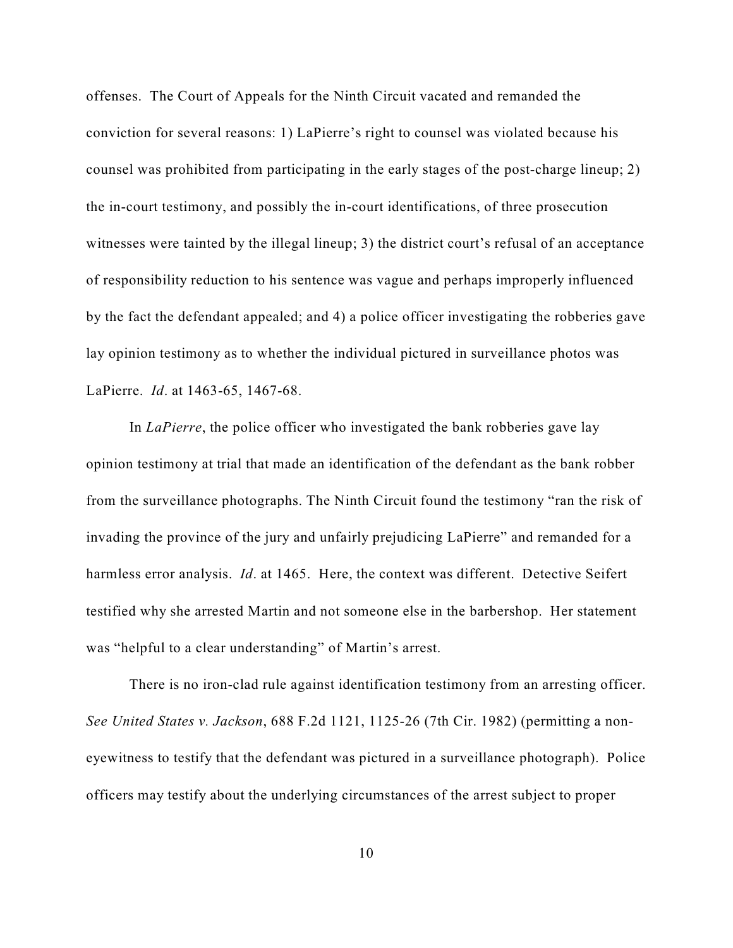offenses. The Court of Appeals for the Ninth Circuit vacated and remanded the conviction for several reasons: 1) LaPierre's right to counsel was violated because his counsel was prohibited from participating in the early stages of the post-charge lineup; 2) the in-court testimony, and possibly the in-court identifications, of three prosecution witnesses were tainted by the illegal lineup; 3) the district court's refusal of an acceptance of responsibility reduction to his sentence was vague and perhaps improperly influenced by the fact the defendant appealed; and 4) a police officer investigating the robberies gave lay opinion testimony as to whether the individual pictured in surveillance photos was LaPierre. *Id*. at 1463-65, 1467-68.

In *LaPierre*, the police officer who investigated the bank robberies gave lay opinion testimony at trial that made an identification of the defendant as the bank robber from the surveillance photographs. The Ninth Circuit found the testimony "ran the risk of invading the province of the jury and unfairly prejudicing LaPierre" and remanded for a harmless error analysis. *Id*. at 1465. Here, the context was different. Detective Seifert testified why she arrested Martin and not someone else in the barbershop. Her statement was "helpful to a clear understanding" of Martin's arrest.

There is no iron-clad rule against identification testimony from an arresting officer. *See United States v. Jackson*, 688 F.2d 1121, 1125-26 (7th Cir. 1982) (permitting a noneyewitness to testify that the defendant was pictured in a surveillance photograph). Police officers may testify about the underlying circumstances of the arrest subject to proper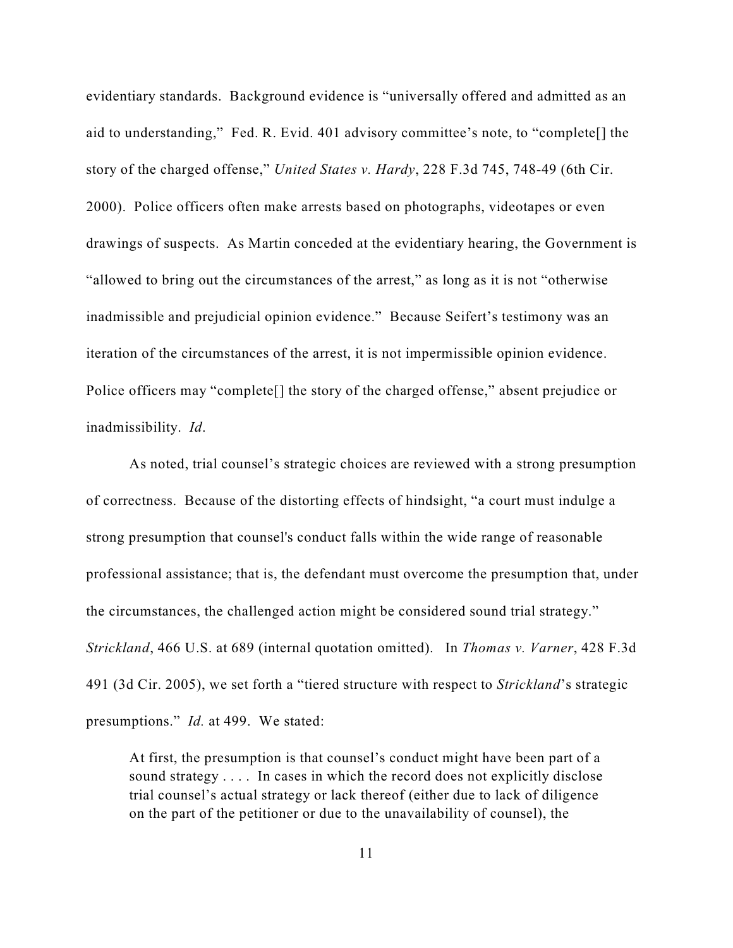evidentiary standards. Background evidence is "universally offered and admitted as an aid to understanding," Fed. R. Evid. 401 advisory committee's note, to "complete[] the story of the charged offense," *United States v. Hardy*, 228 F.3d 745, 748-49 (6th Cir. 2000). Police officers often make arrests based on photographs, videotapes or even drawings of suspects. As Martin conceded at the evidentiary hearing, the Government is "allowed to bring out the circumstances of the arrest," as long as it is not "otherwise inadmissible and prejudicial opinion evidence." Because Seifert's testimony was an iteration of the circumstances of the arrest, it is not impermissible opinion evidence. Police officers may "complete<sup>[]</sup> the story of the charged offense," absent prejudice or inadmissibility. *Id*.

As noted, trial counsel's strategic choices are reviewed with a strong presumption of correctness. Because of the distorting effects of hindsight, "a court must indulge a strong presumption that counsel's conduct falls within the wide range of reasonable professional assistance; that is, the defendant must overcome the presumption that, under the circumstances, the challenged action might be considered sound trial strategy." *Strickland*, 466 U.S. at 689 (internal quotation omitted). In *Thomas v. Varner*, 428 F.3d 491 (3d Cir. 2005), we set forth a "tiered structure with respect to *Strickland*'s strategic presumptions." *Id.* at 499. We stated:

At first, the presumption is that counsel's conduct might have been part of a sound strategy .... In cases in which the record does not explicitly disclose trial counsel's actual strategy or lack thereof (either due to lack of diligence on the part of the petitioner or due to the unavailability of counsel), the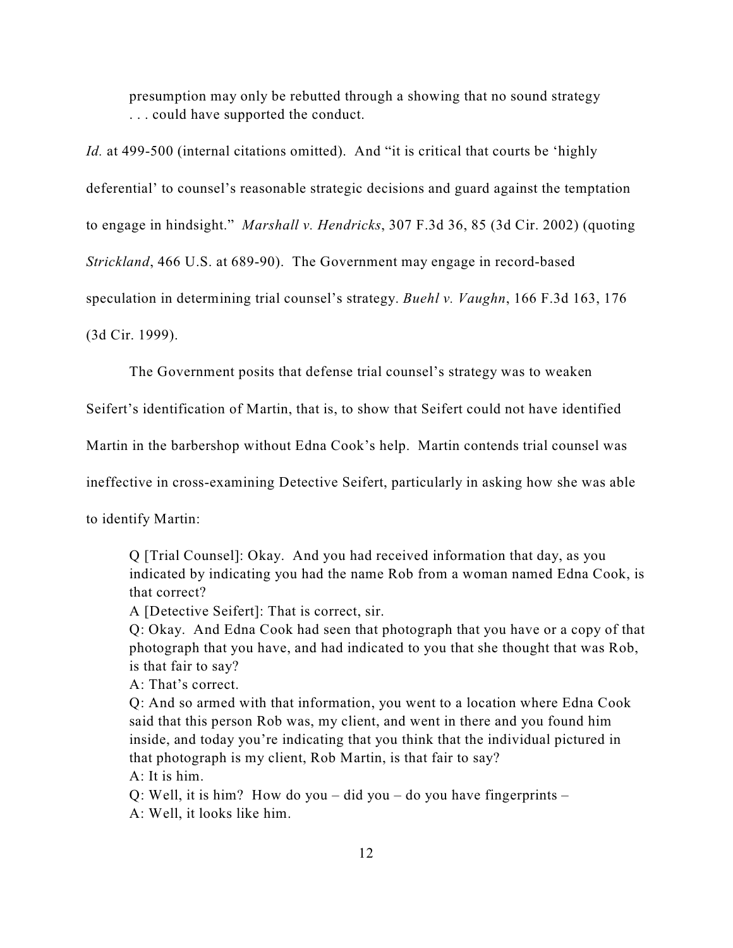presumption may only be rebutted through a showing that no sound strategy . . . could have supported the conduct.

*Id.* at 499-500 (internal citations omitted). And "it is critical that courts be 'highly

deferential' to counsel's reasonable strategic decisions and guard against the temptation

to engage in hindsight." *Marshall v. Hendricks*, 307 F.3d 36, 85 (3d Cir. 2002) (quoting

*Strickland*, 466 U.S. at 689-90). The Government may engage in record-based

speculation in determining trial counsel's strategy. *Buehl v. Vaughn*, 166 F.3d 163, 176

(3d Cir. 1999).

The Government posits that defense trial counsel's strategy was to weaken

Seifert's identification of Martin, that is, to show that Seifert could not have identified

Martin in the barbershop without Edna Cook's help. Martin contends trial counsel was

ineffective in cross-examining Detective Seifert, particularly in asking how she was able

to identify Martin:

Q [Trial Counsel]: Okay. And you had received information that day, as you indicated by indicating you had the name Rob from a woman named Edna Cook, is that correct?

A [Detective Seifert]: That is correct, sir.

Q: Okay. And Edna Cook had seen that photograph that you have or a copy of that photograph that you have, and had indicated to you that she thought that was Rob, is that fair to say?

A: That's correct.

Q: And so armed with that information, you went to a location where Edna Cook said that this person Rob was, my client, and went in there and you found him inside, and today you're indicating that you think that the individual pictured in that photograph is my client, Rob Martin, is that fair to say?

A: It is him.

Q: Well, it is him? How do you – did you – do you have fingerprints – A: Well, it looks like him.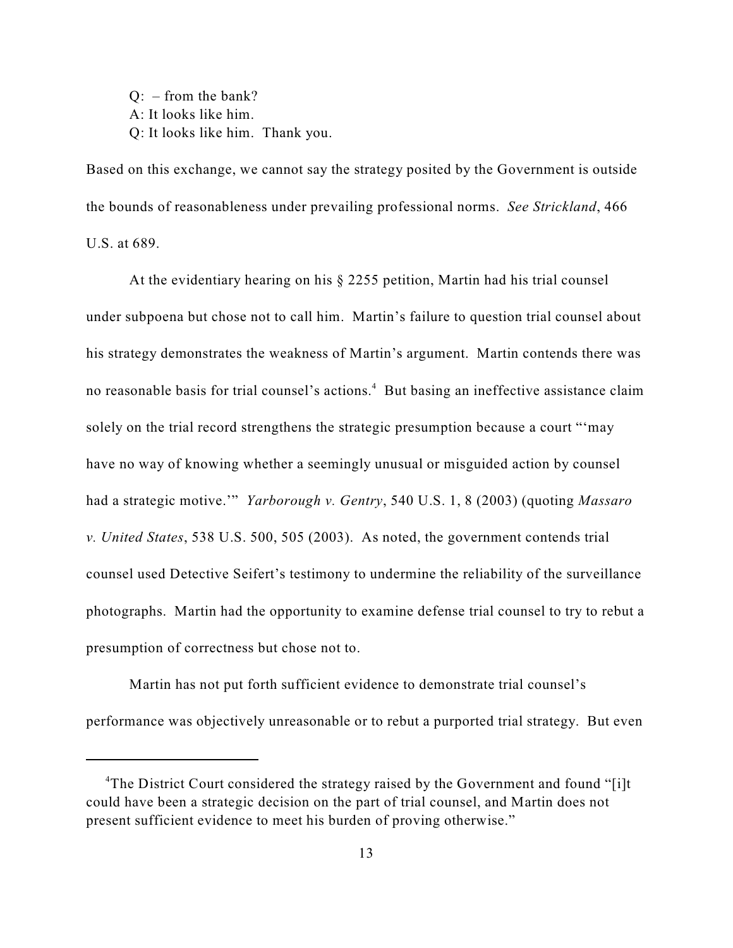Q: – from the bank? A: It looks like him. Q: It looks like him. Thank you.

Based on this exchange, we cannot say the strategy posited by the Government is outside the bounds of reasonableness under prevailing professional norms. *See Strickland*, 466 U.S. at 689.

At the evidentiary hearing on his § 2255 petition, Martin had his trial counsel under subpoena but chose not to call him. Martin's failure to question trial counsel about his strategy demonstrates the weakness of Martin's argument. Martin contends there was no reasonable basis for trial counsel's actions.<sup>4</sup> But basing an ineffective assistance claim solely on the trial record strengthens the strategic presumption because a court "'may have no way of knowing whether a seemingly unusual or misguided action by counsel had a strategic motive.'" *Yarborough v. Gentry*, 540 U.S. 1, 8 (2003) (quoting *Massaro v. United States*, 538 U.S. 500, 505 (2003). As noted, the government contends trial counsel used Detective Seifert's testimony to undermine the reliability of the surveillance photographs. Martin had the opportunity to examine defense trial counsel to try to rebut a presumption of correctness but chose not to.

Martin has not put forth sufficient evidence to demonstrate trial counsel's performance was objectively unreasonable or to rebut a purported trial strategy. But even

<sup>&</sup>lt;sup>4</sup>The District Court considered the strategy raised by the Government and found "[i]t could have been a strategic decision on the part of trial counsel, and Martin does not present sufficient evidence to meet his burden of proving otherwise."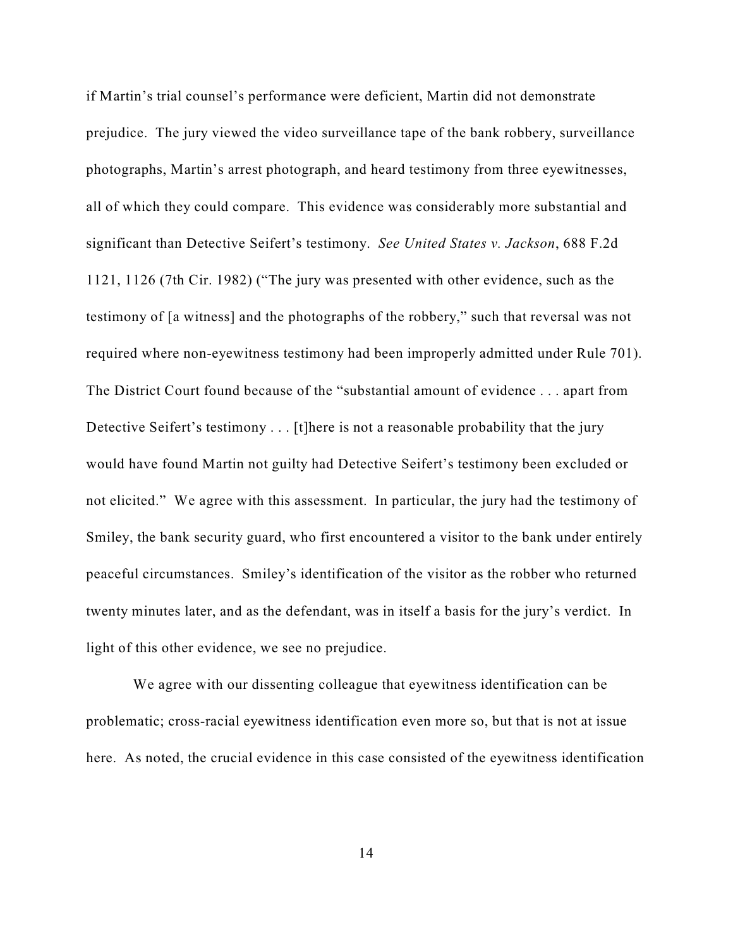if Martin's trial counsel's performance were deficient, Martin did not demonstrate prejudice. The jury viewed the video surveillance tape of the bank robbery, surveillance photographs, Martin's arrest photograph, and heard testimony from three eyewitnesses, all of which they could compare. This evidence was considerably more substantial and significant than Detective Seifert's testimony. *See United States v. Jackson*, 688 F.2d 1121, 1126 (7th Cir. 1982) ("The jury was presented with other evidence, such as the testimony of [a witness] and the photographs of the robbery," such that reversal was not required where non-eyewitness testimony had been improperly admitted under Rule 701). The District Court found because of the "substantial amount of evidence . . . apart from Detective Seifert's testimony . . . [t]here is not a reasonable probability that the jury would have found Martin not guilty had Detective Seifert's testimony been excluded or not elicited." We agree with this assessment. In particular, the jury had the testimony of Smiley, the bank security guard, who first encountered a visitor to the bank under entirely peaceful circumstances. Smiley's identification of the visitor as the robber who returned twenty minutes later, and as the defendant, was in itself a basis for the jury's verdict. In light of this other evidence, we see no prejudice.

 We agree with our dissenting colleague that eyewitness identification can be problematic; cross-racial eyewitness identification even more so, but that is not at issue here. As noted, the crucial evidence in this case consisted of the eyewitness identification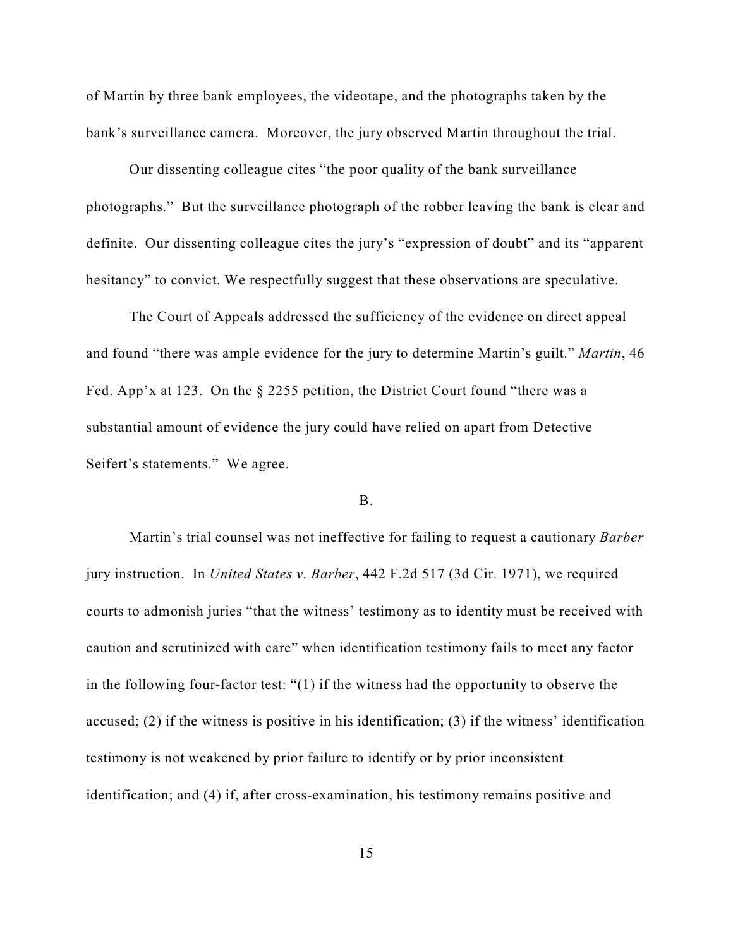of Martin by three bank employees, the videotape, and the photographs taken by the bank's surveillance camera. Moreover, the jury observed Martin throughout the trial.

Our dissenting colleague cites "the poor quality of the bank surveillance photographs." But the surveillance photograph of the robber leaving the bank is clear and definite. Our dissenting colleague cites the jury's "expression of doubt" and its "apparent hesitancy" to convict. We respectfully suggest that these observations are speculative.

The Court of Appeals addressed the sufficiency of the evidence on direct appeal and found "there was ample evidence for the jury to determine Martin's guilt." *Martin*, 46 Fed. App'x at 123. On the § 2255 petition, the District Court found "there was a substantial amount of evidence the jury could have relied on apart from Detective Seifert's statements." We agree.

### B.

Martin's trial counsel was not ineffective for failing to request a cautionary *Barber* jury instruction. In *United States v. Barber*, 442 F.2d 517 (3d Cir. 1971), we required courts to admonish juries "that the witness' testimony as to identity must be received with caution and scrutinized with care" when identification testimony fails to meet any factor in the following four-factor test: "(1) if the witness had the opportunity to observe the accused; (2) if the witness is positive in his identification; (3) if the witness' identification testimony is not weakened by prior failure to identify or by prior inconsistent identification; and (4) if, after cross-examination, his testimony remains positive and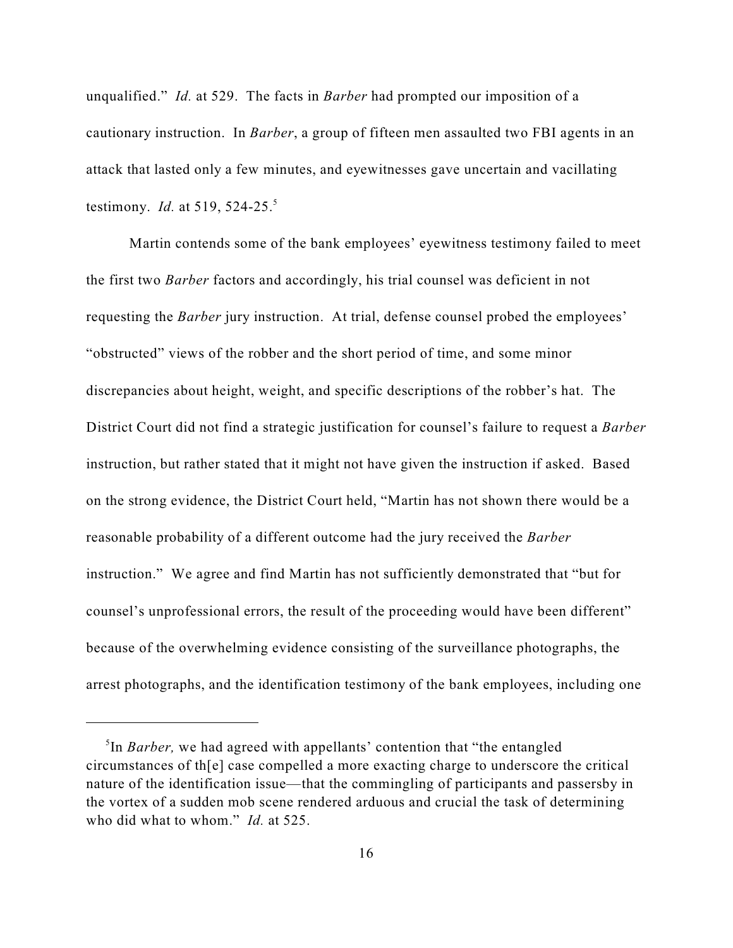unqualified." *Id.* at 529. The facts in *Barber* had prompted our imposition of a cautionary instruction. In *Barber*, a group of fifteen men assaulted two FBI agents in an attack that lasted only a few minutes, and eyewitnesses gave uncertain and vacillating testimony. *Id.* at 519, 524-25.<sup>5</sup>

Martin contends some of the bank employees' eyewitness testimony failed to meet the first two *Barber* factors and accordingly, his trial counsel was deficient in not requesting the *Barber* jury instruction. At trial, defense counsel probed the employees' "obstructed" views of the robber and the short period of time, and some minor discrepancies about height, weight, and specific descriptions of the robber's hat. The District Court did not find a strategic justification for counsel's failure to request a *Barber* instruction, but rather stated that it might not have given the instruction if asked. Based on the strong evidence, the District Court held, "Martin has not shown there would be a reasonable probability of a different outcome had the jury received the *Barber* instruction." We agree and find Martin has not sufficiently demonstrated that "but for counsel's unprofessional errors, the result of the proceeding would have been different" because of the overwhelming evidence consisting of the surveillance photographs, the arrest photographs, and the identification testimony of the bank employees, including one

<sup>&</sup>lt;sup>5</sup>In *Barber*, we had agreed with appellants' contention that "the entangled" circumstances of th[e] case compelled a more exacting charge to underscore the critical nature of the identification issue—that the commingling of participants and passersby in the vortex of a sudden mob scene rendered arduous and crucial the task of determining who did what to whom." *Id.* at 525.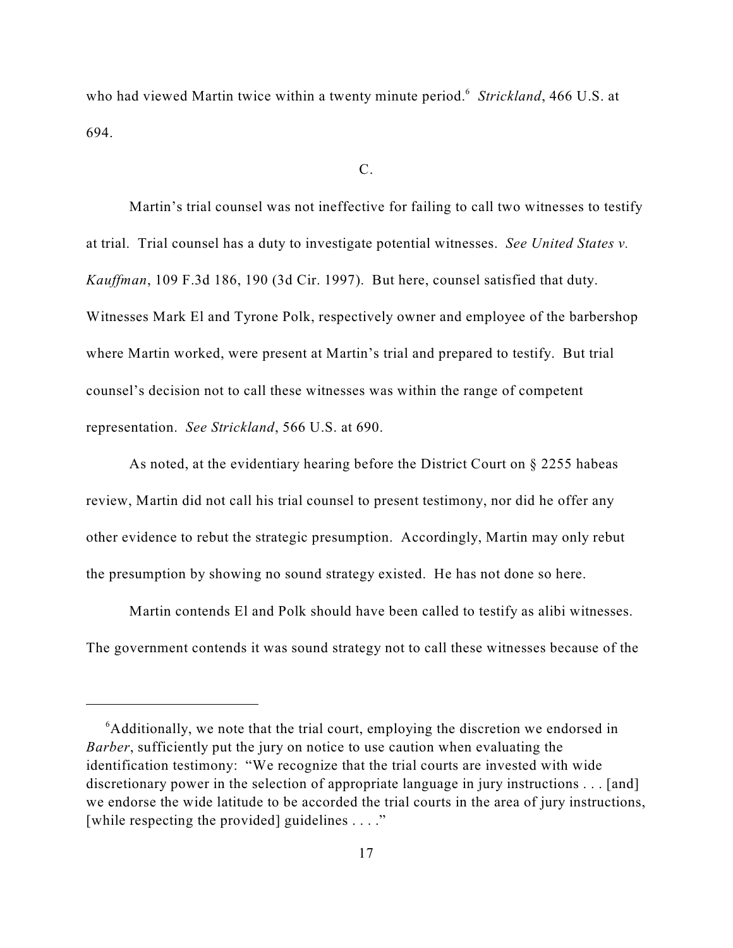who had viewed Martin twice within a twenty minute period.<sup>6</sup> Strickland, 466 U.S. at 694.

#### C.

Martin's trial counsel was not ineffective for failing to call two witnesses to testify at trial. Trial counsel has a duty to investigate potential witnesses. *See United States v. Kauffman*, 109 F.3d 186, 190 (3d Cir. 1997). But here, counsel satisfied that duty. Witnesses Mark El and Tyrone Polk, respectively owner and employee of the barbershop where Martin worked, were present at Martin's trial and prepared to testify. But trial counsel's decision not to call these witnesses was within the range of competent representation. *See Strickland*, 566 U.S. at 690.

As noted, at the evidentiary hearing before the District Court on  $\S$  2255 habeas review, Martin did not call his trial counsel to present testimony, nor did he offer any other evidence to rebut the strategic presumption. Accordingly, Martin may only rebut the presumption by showing no sound strategy existed. He has not done so here.

Martin contends El and Polk should have been called to testify as alibi witnesses. The government contends it was sound strategy not to call these witnesses because of the

 $\delta$ Additionally, we note that the trial court, employing the discretion we endorsed in *Barber*, sufficiently put the jury on notice to use caution when evaluating the identification testimony: "We recognize that the trial courts are invested with wide discretionary power in the selection of appropriate language in jury instructions . . . [and] we endorse the wide latitude to be accorded the trial courts in the area of jury instructions, [while respecting the provided] guidelines . . . ."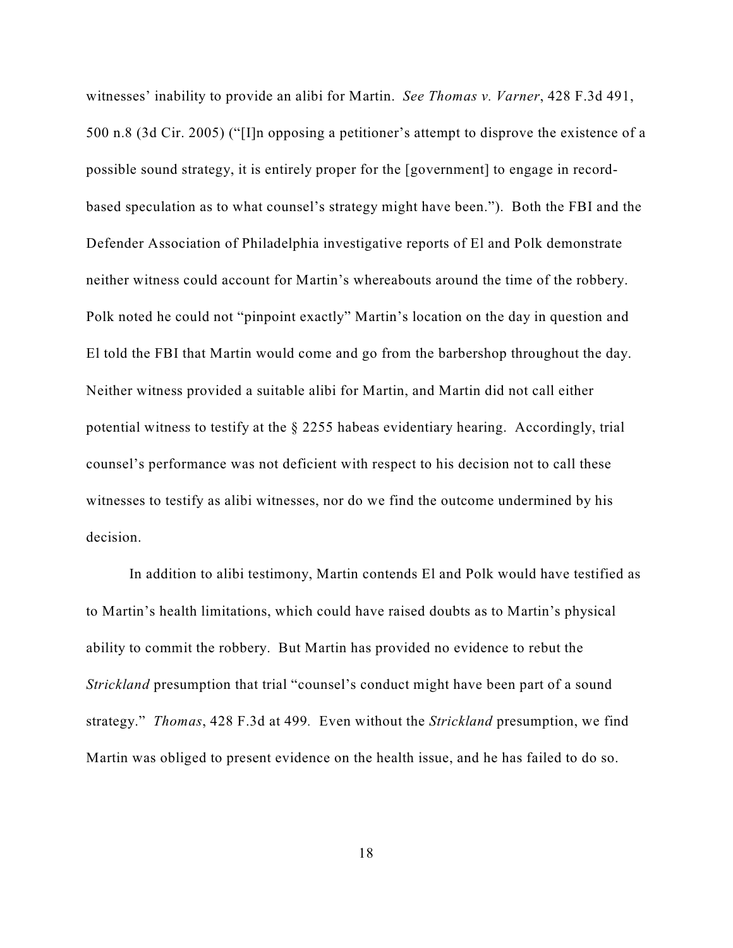witnesses' inability to provide an alibi for Martin. *See Thomas v. Varner*, 428 F.3d 491, 500 n.8 (3d Cir. 2005) ("[I]n opposing a petitioner's attempt to disprove the existence of a possible sound strategy, it is entirely proper for the [government] to engage in recordbased speculation as to what counsel's strategy might have been."). Both the FBI and the Defender Association of Philadelphia investigative reports of El and Polk demonstrate neither witness could account for Martin's whereabouts around the time of the robbery. Polk noted he could not "pinpoint exactly" Martin's location on the day in question and El told the FBI that Martin would come and go from the barbershop throughout the day. Neither witness provided a suitable alibi for Martin, and Martin did not call either potential witness to testify at the § 2255 habeas evidentiary hearing. Accordingly, trial counsel's performance was not deficient with respect to his decision not to call these witnesses to testify as alibi witnesses, nor do we find the outcome undermined by his decision.

In addition to alibi testimony, Martin contends El and Polk would have testified as to Martin's health limitations, which could have raised doubts as to Martin's physical ability to commit the robbery. But Martin has provided no evidence to rebut the *Strickland* presumption that trial "counsel's conduct might have been part of a sound strategy." *Thomas*, 428 F.3d at 499*.* Even without the *Strickland* presumption, we find Martin was obliged to present evidence on the health issue, and he has failed to do so.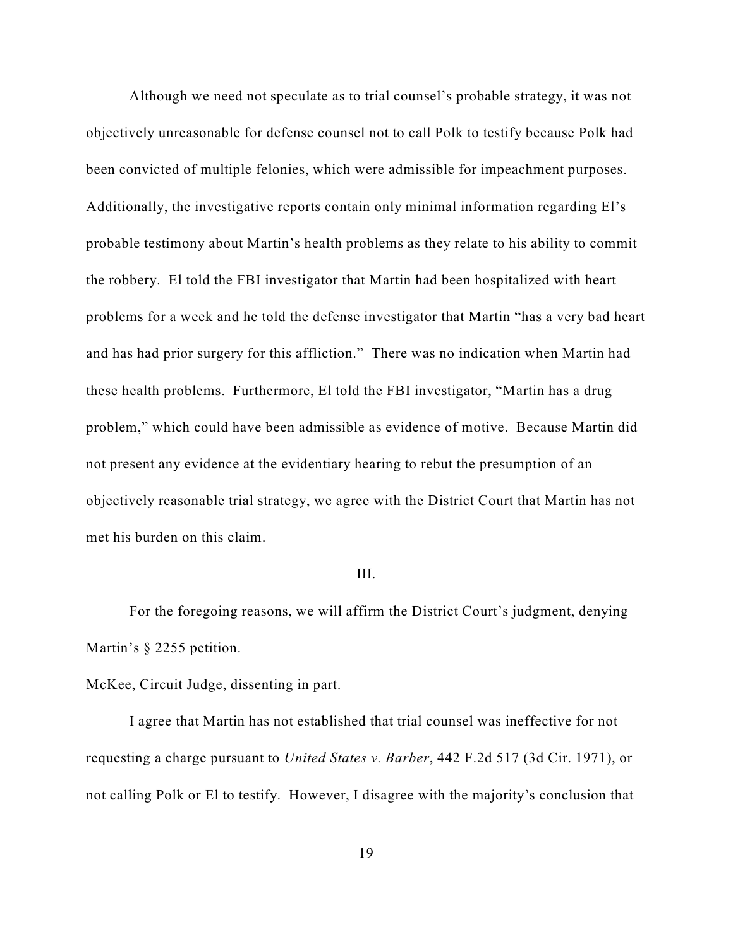Although we need not speculate as to trial counsel's probable strategy, it was not objectively unreasonable for defense counsel not to call Polk to testify because Polk had been convicted of multiple felonies, which were admissible for impeachment purposes. Additionally, the investigative reports contain only minimal information regarding El's probable testimony about Martin's health problems as they relate to his ability to commit the robbery. El told the FBI investigator that Martin had been hospitalized with heart problems for a week and he told the defense investigator that Martin "has a very bad heart and has had prior surgery for this affliction." There was no indication when Martin had these health problems. Furthermore, El told the FBI investigator, "Martin has a drug problem," which could have been admissible as evidence of motive. Because Martin did not present any evidence at the evidentiary hearing to rebut the presumption of an objectively reasonable trial strategy, we agree with the District Court that Martin has not met his burden on this claim.

### III.

For the foregoing reasons, we will affirm the District Court's judgment, denying Martin's § 2255 petition.

McKee, Circuit Judge, dissenting in part.

I agree that Martin has not established that trial counsel was ineffective for not requesting a charge pursuant to *United States v. Barber*, 442 F.2d 517 (3d Cir. 1971), or not calling Polk or El to testify. However, I disagree with the majority's conclusion that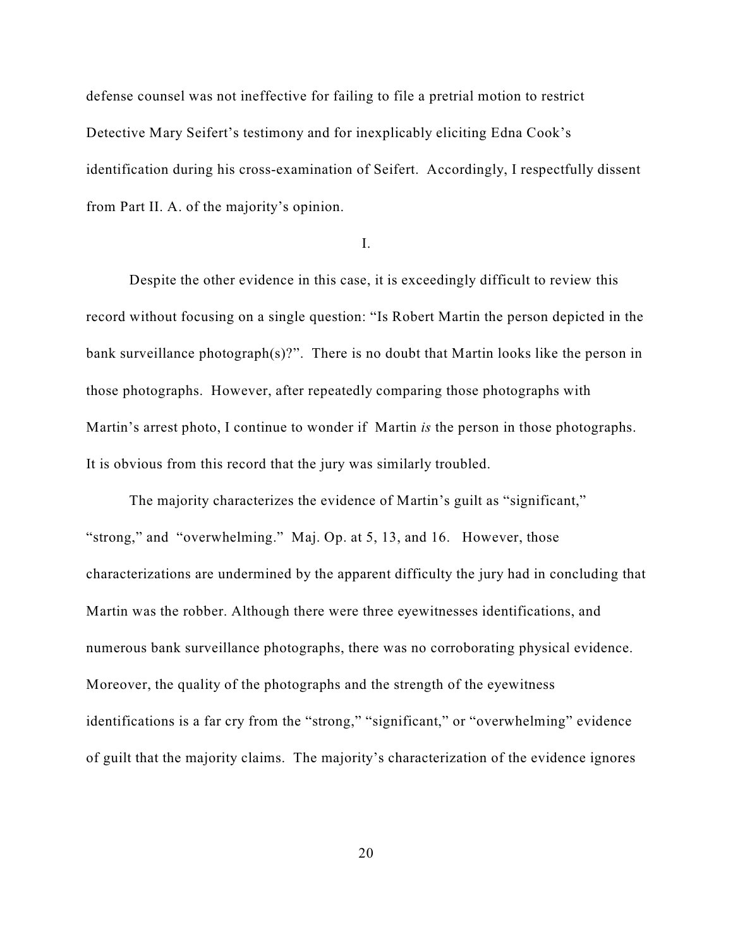defense counsel was not ineffective for failing to file a pretrial motion to restrict Detective Mary Seifert's testimony and for inexplicably eliciting Edna Cook's identification during his cross-examination of Seifert. Accordingly, I respectfully dissent from Part II. A. of the majority's opinion.

I.

Despite the other evidence in this case, it is exceedingly difficult to review this record without focusing on a single question: "Is Robert Martin the person depicted in the bank surveillance photograph $(s)$ ?". There is no doubt that Martin looks like the person in those photographs. However, after repeatedly comparing those photographs with Martin's arrest photo, I continue to wonder if Martin *is* the person in those photographs. It is obvious from this record that the jury was similarly troubled.

The majority characterizes the evidence of Martin's guilt as "significant," "strong," and "overwhelming." Maj. Op. at 5, 13, and 16. However, those characterizations are undermined by the apparent difficulty the jury had in concluding that Martin was the robber. Although there were three eyewitnesses identifications, and numerous bank surveillance photographs, there was no corroborating physical evidence. Moreover, the quality of the photographs and the strength of the eyewitness identifications is a far cry from the "strong," "significant," or "overwhelming" evidence of guilt that the majority claims. The majority's characterization of the evidence ignores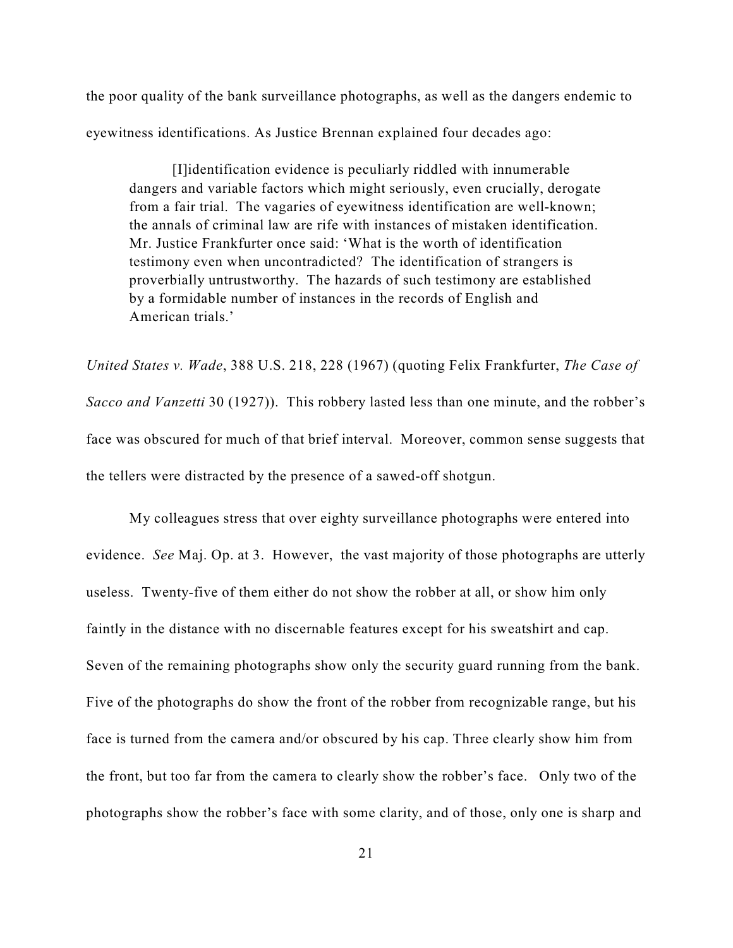the poor quality of the bank surveillance photographs, as well as the dangers endemic to eyewitness identifications. As Justice Brennan explained four decades ago:

[I]identification evidence is peculiarly riddled with innumerable dangers and variable factors which might seriously, even crucially, derogate from a fair trial. The vagaries of eyewitness identification are well-known; the annals of criminal law are rife with instances of mistaken identification. Mr. Justice Frankfurter once said: 'What is the worth of identification testimony even when uncontradicted? The identification of strangers is proverbially untrustworthy. The hazards of such testimony are established by a formidable number of instances in the records of English and American trials.'

*United States v. Wade*, 388 U.S. 218, 228 (1967) (quoting Felix Frankfurter, *The Case of Sacco and Vanzetti* 30 (1927)). This robbery lasted less than one minute, and the robber's face was obscured for much of that brief interval. Moreover, common sense suggests that the tellers were distracted by the presence of a sawed-off shotgun.

My colleagues stress that over eighty surveillance photographs were entered into evidence. *See* Maj. Op. at 3. However, the vast majority of those photographs are utterly useless. Twenty-five of them either do not show the robber at all, or show him only faintly in the distance with no discernable features except for his sweatshirt and cap. Seven of the remaining photographs show only the security guard running from the bank. Five of the photographs do show the front of the robber from recognizable range, but his face is turned from the camera and/or obscured by his cap. Three clearly show him from the front, but too far from the camera to clearly show the robber's face. Only two of the photographs show the robber's face with some clarity, and of those, only one is sharp and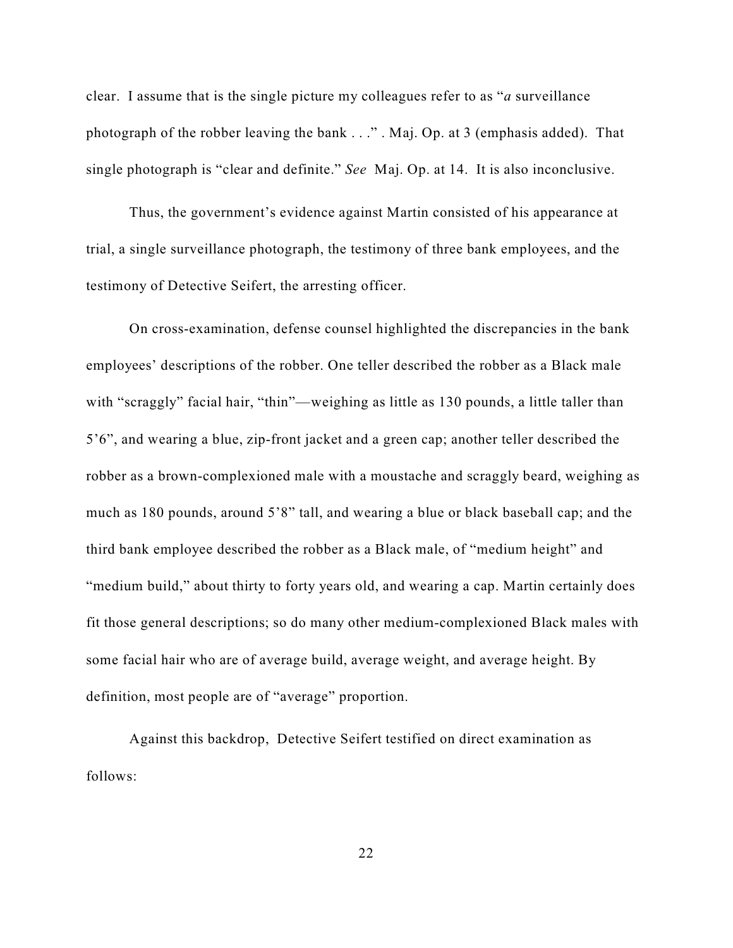clear. I assume that is the single picture my colleagues refer to as "*a* surveillance photograph of the robber leaving the bank . . ." . Maj. Op. at 3 (emphasis added). That single photograph is "clear and definite." *See* Maj. Op. at 14. It is also inconclusive.

Thus, the government's evidence against Martin consisted of his appearance at trial, a single surveillance photograph, the testimony of three bank employees, and the testimony of Detective Seifert, the arresting officer.

On cross-examination, defense counsel highlighted the discrepancies in the bank employees' descriptions of the robber. One teller described the robber as a Black male with "scraggly" facial hair, "thin"—weighing as little as 130 pounds, a little taller than 5'6", and wearing a blue, zip-front jacket and a green cap; another teller described the robber as a brown-complexioned male with a moustache and scraggly beard, weighing as much as 180 pounds, around 5'8" tall, and wearing a blue or black baseball cap; and the third bank employee described the robber as a Black male, of "medium height" and "medium build," about thirty to forty years old, and wearing a cap. Martin certainly does fit those general descriptions; so do many other medium-complexioned Black males with some facial hair who are of average build, average weight, and average height. By definition, most people are of "average" proportion.

Against this backdrop, Detective Seifert testified on direct examination as follows: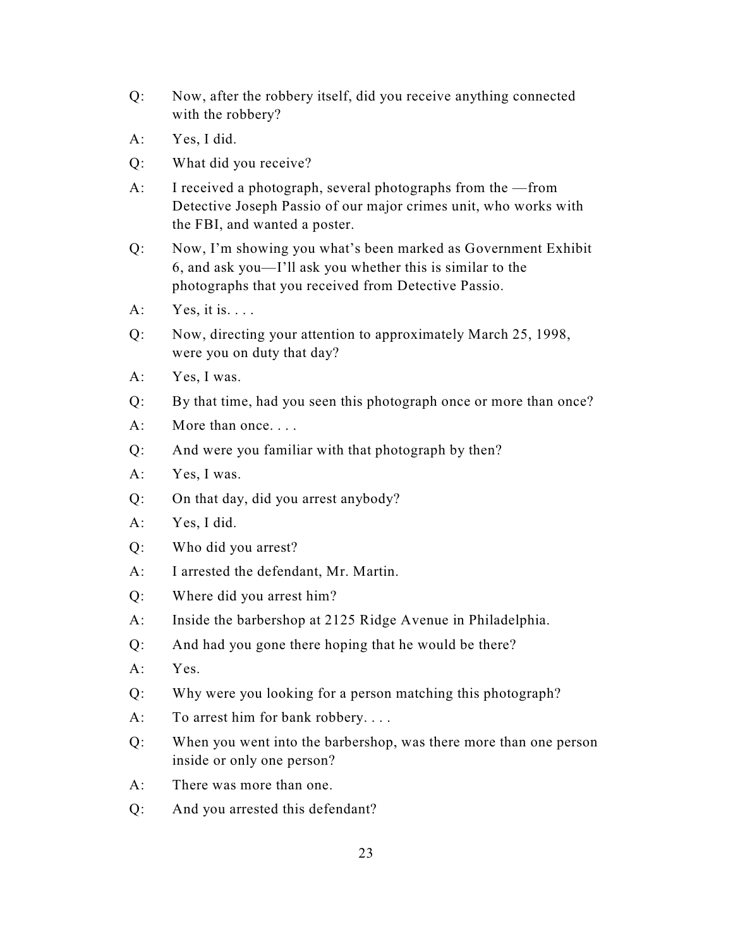- Q: Now, after the robbery itself, did you receive anything connected with the robbery?
- A: Yes, I did.
- Q: What did you receive?
- A: I received a photograph, several photographs from the —from Detective Joseph Passio of our major crimes unit, who works with the FBI, and wanted a poster.
- Q: Now, I'm showing you what's been marked as Government Exhibit 6, and ask you—I'll ask you whether this is similar to the photographs that you received from Detective Passio.
- $A:$  Yes, it is. . . .
- Q: Now, directing your attention to approximately March 25, 1998, were you on duty that day?
- A: Yes, I was.
- Q: By that time, had you seen this photograph once or more than once?
- A: More than once....
- Q: And were you familiar with that photograph by then?
- A: Yes, I was.
- Q: On that day, did you arrest anybody?
- A: Yes, I did.
- Q: Who did you arrest?
- A: I arrested the defendant, Mr. Martin.
- Q: Where did you arrest him?
- A: Inside the barbershop at 2125 Ridge Avenue in Philadelphia.
- Q: And had you gone there hoping that he would be there?
- A: Yes.
- Q: Why were you looking for a person matching this photograph?
- A: To arrest him for bank robbery. . . .
- Q: When you went into the barbershop, was there more than one person inside or only one person?
- A: There was more than one.
- Q: And you arrested this defendant?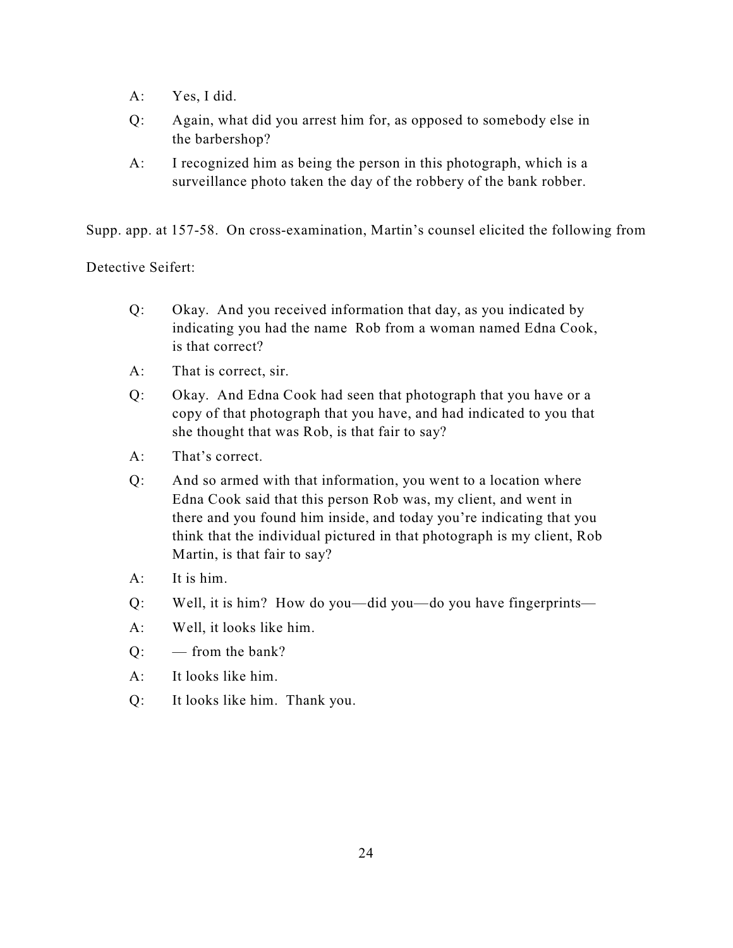- A: Yes, I did.
- Q: Again, what did you arrest him for, as opposed to somebody else in the barbershop?
- A: I recognized him as being the person in this photograph, which is a surveillance photo taken the day of the robbery of the bank robber.

Supp. app. at 157-58. On cross-examination, Martin's counsel elicited the following from

Detective Seifert:

- Q: Okay. And you received information that day, as you indicated by indicating you had the name Rob from a woman named Edna Cook, is that correct?
- A: That is correct, sir.
- Q: Okay. And Edna Cook had seen that photograph that you have or a copy of that photograph that you have, and had indicated to you that she thought that was Rob, is that fair to say?
- A: That's correct.
- Q: And so armed with that information, you went to a location where Edna Cook said that this person Rob was, my client, and went in there and you found him inside, and today you're indicating that you think that the individual pictured in that photograph is my client, Rob Martin, is that fair to say?
- A: It is him.
- Q: Well, it is him? How do you—did you—do you have fingerprints—
- A: Well, it looks like him.
- Q: from the bank?
- A: It looks like him.
- Q: It looks like him. Thank you.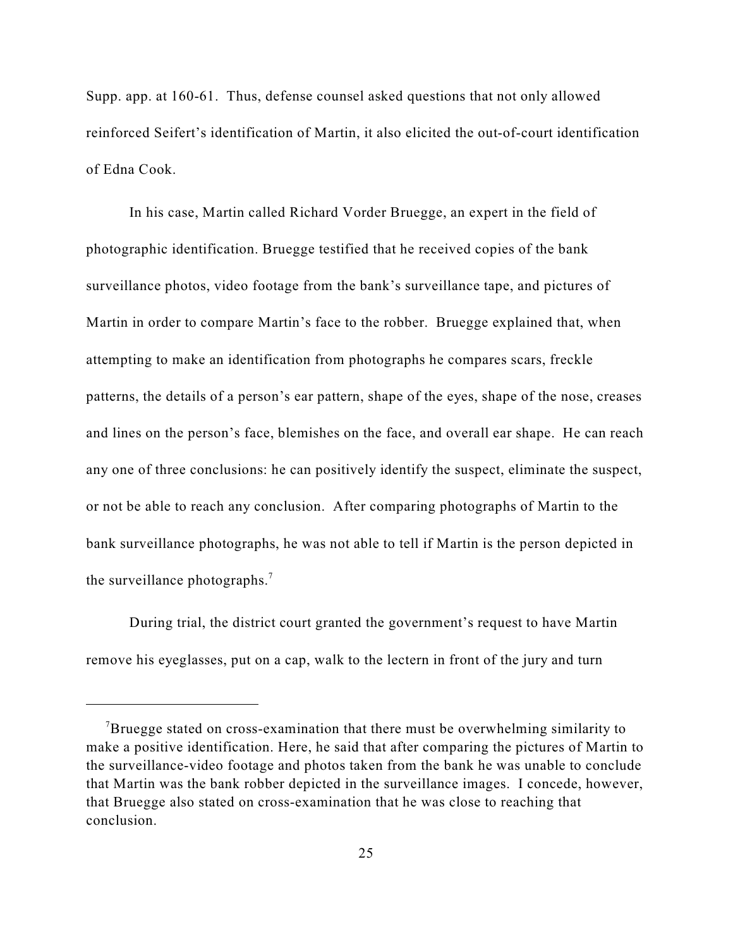Supp. app. at 160-61. Thus, defense counsel asked questions that not only allowed reinforced Seifert's identification of Martin, it also elicited the out-of-court identification of Edna Cook.

In his case, Martin called Richard Vorder Bruegge, an expert in the field of photographic identification. Bruegge testified that he received copies of the bank surveillance photos, video footage from the bank's surveillance tape, and pictures of Martin in order to compare Martin's face to the robber. Bruegge explained that, when attempting to make an identification from photographs he compares scars, freckle patterns, the details of a person's ear pattern, shape of the eyes, shape of the nose, creases and lines on the person's face, blemishes on the face, and overall ear shape. He can reach any one of three conclusions: he can positively identify the suspect, eliminate the suspect, or not be able to reach any conclusion. After comparing photographs of Martin to the bank surveillance photographs, he was not able to tell if Martin is the person depicted in the surveillance photographs.<sup>7</sup>

During trial, the district court granted the government's request to have Martin remove his eyeglasses, put on a cap, walk to the lectern in front of the jury and turn

Bruegge stated on cross-examination that there must be overwhelming similarity to make a positive identification. Here, he said that after comparing the pictures of Martin to the surveillance-video footage and photos taken from the bank he was unable to conclude that Martin was the bank robber depicted in the surveillance images. I concede, however, that Bruegge also stated on cross-examination that he was close to reaching that conclusion.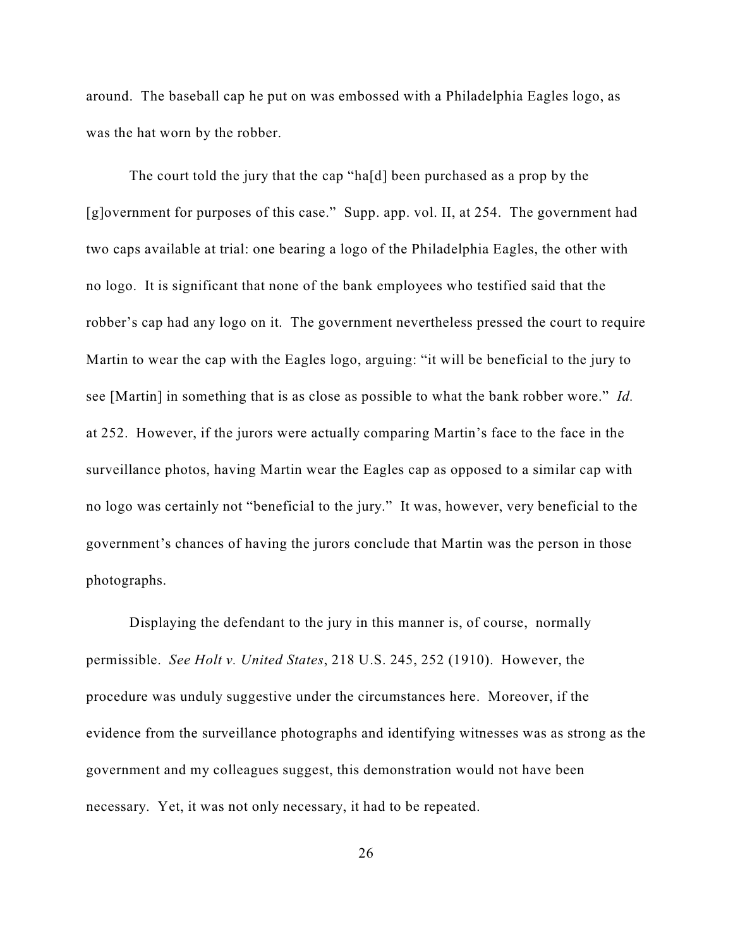around. The baseball cap he put on was embossed with a Philadelphia Eagles logo, as was the hat worn by the robber.

The court told the jury that the cap "ha[d] been purchased as a prop by the [g]overnment for purposes of this case." Supp. app. vol. II, at 254. The government had two caps available at trial: one bearing a logo of the Philadelphia Eagles, the other with no logo. It is significant that none of the bank employees who testified said that the robber's cap had any logo on it. The government nevertheless pressed the court to require Martin to wear the cap with the Eagles logo, arguing: "it will be beneficial to the jury to see [Martin] in something that is as close as possible to what the bank robber wore." *Id.* at 252. However, if the jurors were actually comparing Martin's face to the face in the surveillance photos, having Martin wear the Eagles cap as opposed to a similar cap with no logo was certainly not "beneficial to the jury." It was, however, very beneficial to the government's chances of having the jurors conclude that Martin was the person in those photographs.

Displaying the defendant to the jury in this manner is, of course, normally permissible. *See Holt v. United States*, 218 U.S. 245, 252 (1910). However, the procedure was unduly suggestive under the circumstances here. Moreover, if the evidence from the surveillance photographs and identifying witnesses was as strong as the government and my colleagues suggest, this demonstration would not have been necessary. Yet, it was not only necessary, it had to be repeated.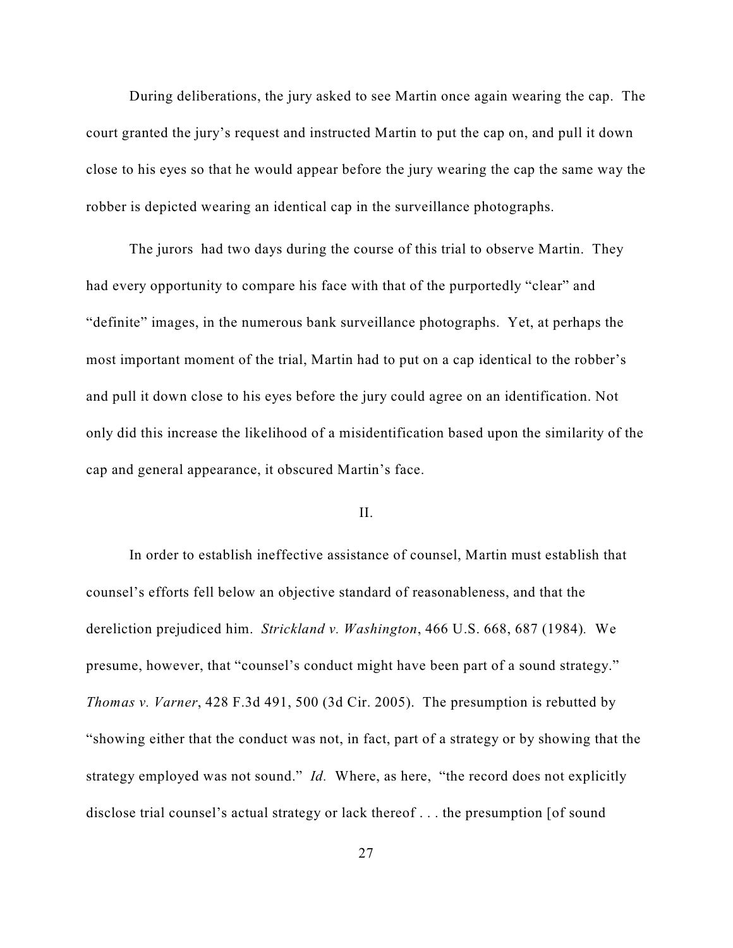During deliberations, the jury asked to see Martin once again wearing the cap. The court granted the jury's request and instructed Martin to put the cap on, and pull it down close to his eyes so that he would appear before the jury wearing the cap the same way the robber is depicted wearing an identical cap in the surveillance photographs.

The jurors had two days during the course of this trial to observe Martin. They had every opportunity to compare his face with that of the purportedly "clear" and "definite" images, in the numerous bank surveillance photographs. Yet, at perhaps the most important moment of the trial, Martin had to put on a cap identical to the robber's and pull it down close to his eyes before the jury could agree on an identification. Not only did this increase the likelihood of a misidentification based upon the similarity of the cap and general appearance, it obscured Martin's face.

## II.

In order to establish ineffective assistance of counsel, Martin must establish that counsel's efforts fell below an objective standard of reasonableness, and that the dereliction prejudiced him. *Strickland v. Washington*, 466 U.S. 668, 687 (1984)*.* We presume, however, that "counsel's conduct might have been part of a sound strategy." *Thomas v. Varner*, 428 F.3d 491, 500 (3d Cir. 2005). The presumption is rebutted by "showing either that the conduct was not, in fact, part of a strategy or by showing that the strategy employed was not sound." *Id.* Where, as here, "the record does not explicitly disclose trial counsel's actual strategy or lack thereof . . . the presumption [of sound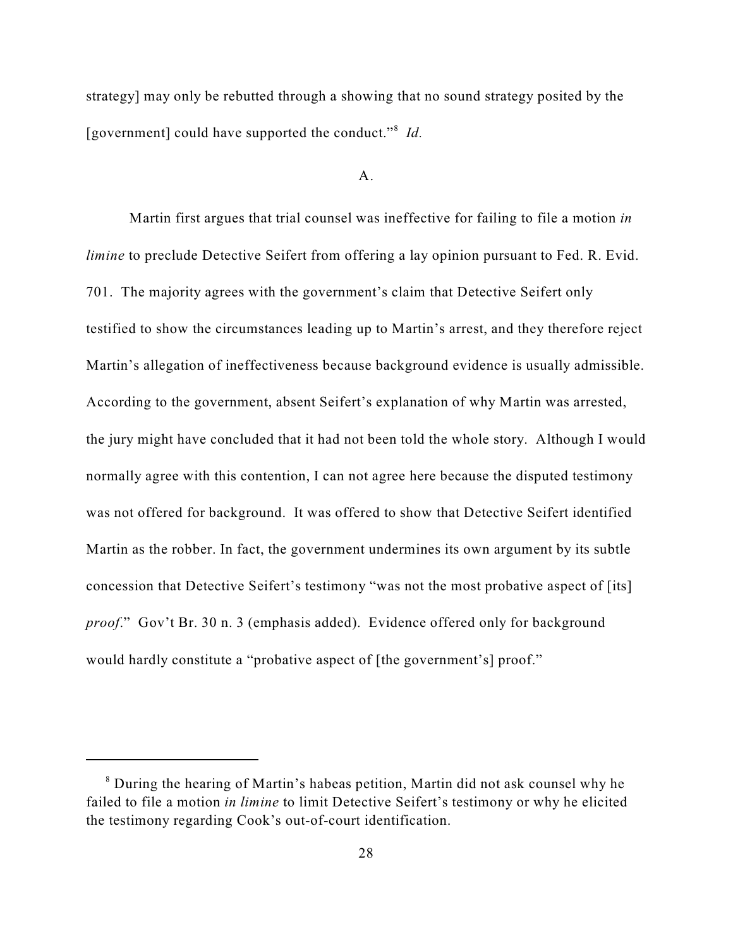strategy] may only be rebutted through a showing that no sound strategy posited by the [government] could have supported the conduct."<sup>8</sup> Id.

#### A.

Martin first argues that trial counsel was ineffective for failing to file a motion *in limine* to preclude Detective Seifert from offering a lay opinion pursuant to Fed. R. Evid. 701. The majority agrees with the government's claim that Detective Seifert only testified to show the circumstances leading up to Martin's arrest, and they therefore reject Martin's allegation of ineffectiveness because background evidence is usually admissible. According to the government, absent Seifert's explanation of why Martin was arrested, the jury might have concluded that it had not been told the whole story. Although I would normally agree with this contention, I can not agree here because the disputed testimony was not offered for background. It was offered to show that Detective Seifert identified Martin as the robber. In fact, the government undermines its own argument by its subtle concession that Detective Seifert's testimony "was not the most probative aspect of [its] *proof*." Gov't Br. 30 n. 3 (emphasis added). Evidence offered only for background would hardly constitute a "probative aspect of [the government's] proof."

<sup>&</sup>lt;sup>8</sup> During the hearing of Martin's habeas petition, Martin did not ask counsel why he failed to file a motion *in limine* to limit Detective Seifert's testimony or why he elicited the testimony regarding Cook's out-of-court identification.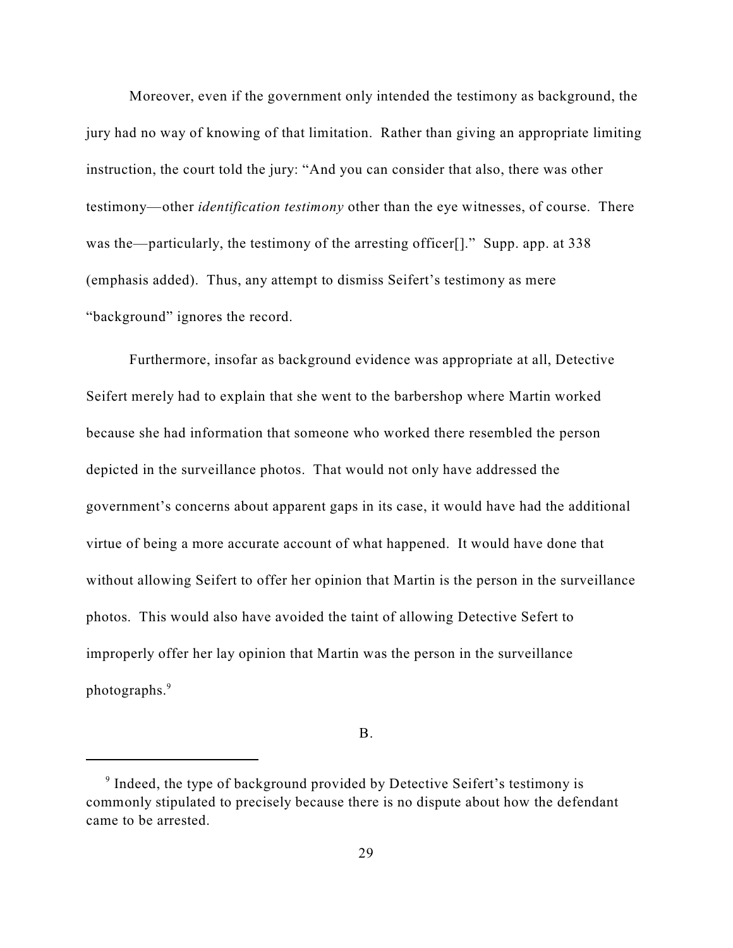Moreover, even if the government only intended the testimony as background, the jury had no way of knowing of that limitation. Rather than giving an appropriate limiting instruction, the court told the jury: "And you can consider that also, there was other testimony—other *identification testimony* other than the eye witnesses, of course. There was the—particularly, the testimony of the arresting officer<sup>[1]</sup>." Supp. app. at 338 (emphasis added). Thus, any attempt to dismiss Seifert's testimony as mere "background" ignores the record.

Furthermore, insofar as background evidence was appropriate at all, Detective Seifert merely had to explain that she went to the barbershop where Martin worked because she had information that someone who worked there resembled the person depicted in the surveillance photos. That would not only have addressed the government's concerns about apparent gaps in its case, it would have had the additional virtue of being a more accurate account of what happened. It would have done that without allowing Seifert to offer her opinion that Martin is the person in the surveillance photos. This would also have avoided the taint of allowing Detective Sefert to improperly offer her lay opinion that Martin was the person in the surveillance photographs.<sup>9</sup>

B.

 $\degree$  Indeed, the type of background provided by Detective Seifert's testimony is commonly stipulated to precisely because there is no dispute about how the defendant came to be arrested.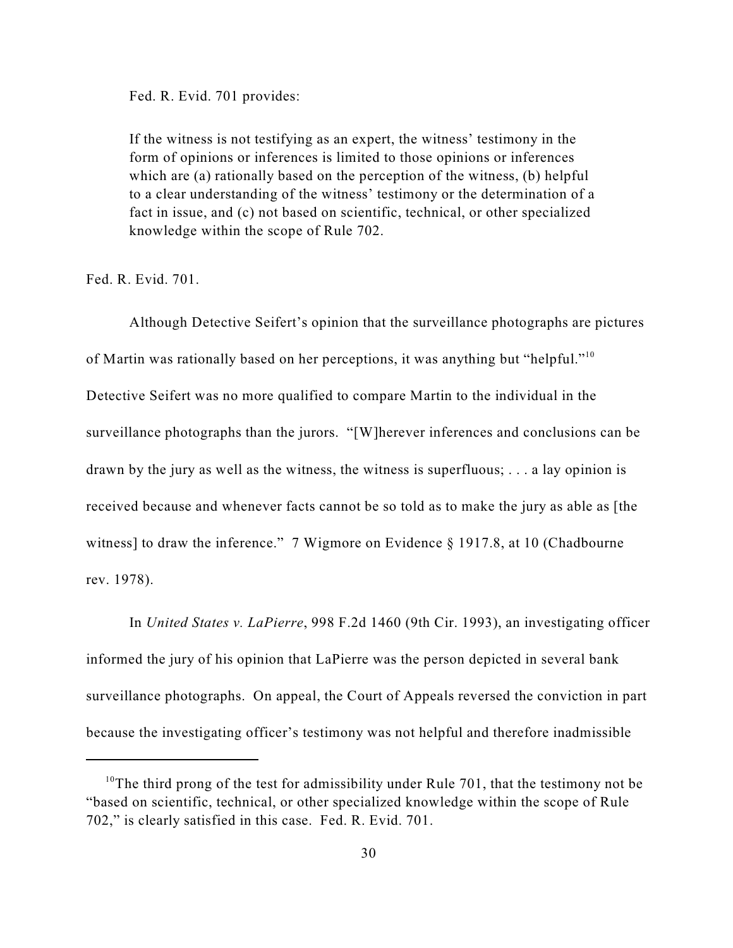Fed. R. Evid. 701 provides:

If the witness is not testifying as an expert, the witness' testimony in the form of opinions or inferences is limited to those opinions or inferences which are (a) rationally based on the perception of the witness, (b) helpful to a clear understanding of the witness' testimony or the determination of a fact in issue, and (c) not based on scientific, technical, or other specialized knowledge within the scope of Rule 702.

Fed. R. Evid. 701.

Although Detective Seifert's opinion that the surveillance photographs are pictures of Martin was rationally based on her perceptions, it was anything but "helpful."<sup>10</sup> Detective Seifert was no more qualified to compare Martin to the individual in the surveillance photographs than the jurors. "[W]herever inferences and conclusions can be drawn by the jury as well as the witness, the witness is superfluous; . . . a lay opinion is received because and whenever facts cannot be so told as to make the jury as able as [the witness] to draw the inference." 7 Wigmore on Evidence § 1917.8, at 10 (Chadbourne rev. 1978).

In *United States v. LaPierre*, 998 F.2d 1460 (9th Cir. 1993), an investigating officer informed the jury of his opinion that LaPierre was the person depicted in several bank surveillance photographs. On appeal, the Court of Appeals reversed the conviction in part because the investigating officer's testimony was not helpful and therefore inadmissible

<sup>&</sup>lt;sup>10</sup>The third prong of the test for admissibility under Rule 701, that the testimony not be "based on scientific, technical, or other specialized knowledge within the scope of Rule 702," is clearly satisfied in this case. Fed. R. Evid. 701.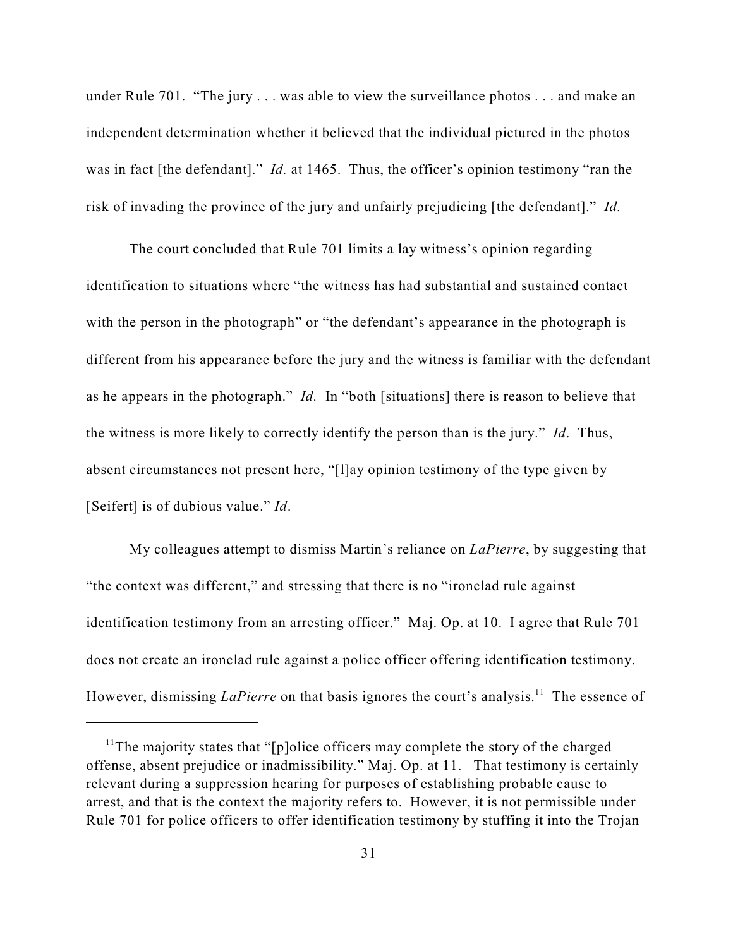under Rule 701. "The jury . . . was able to view the surveillance photos . . . and make an independent determination whether it believed that the individual pictured in the photos was in fact [the defendant]." *Id.* at 1465. Thus, the officer's opinion testimony "ran the risk of invading the province of the jury and unfairly prejudicing [the defendant]." *Id.*

The court concluded that Rule 701 limits a lay witness's opinion regarding identification to situations where "the witness has had substantial and sustained contact with the person in the photograph" or "the defendant's appearance in the photograph is different from his appearance before the jury and the witness is familiar with the defendant as he appears in the photograph." *Id.* In "both [situations] there is reason to believe that the witness is more likely to correctly identify the person than is the jury." *Id*. Thus, absent circumstances not present here, "[l]ay opinion testimony of the type given by [Seifert] is of dubious value." *Id*.

My colleagues attempt to dismiss Martin's reliance on *LaPierre*, by suggesting that "the context was different," and stressing that there is no "ironclad rule against identification testimony from an arresting officer." Maj. Op. at 10. I agree that Rule 701 does not create an ironclad rule against a police officer offering identification testimony. However, dismissing *LaPierre* on that basis ignores the court's analysis.<sup>11</sup> The essence of

<sup>&</sup>lt;sup>11</sup>The majority states that "[p]olice officers may complete the story of the charged offense, absent prejudice or inadmissibility." Maj. Op. at 11. That testimony is certainly relevant during a suppression hearing for purposes of establishing probable cause to arrest, and that is the context the majority refers to. However, it is not permissible under Rule 701 for police officers to offer identification testimony by stuffing it into the Trojan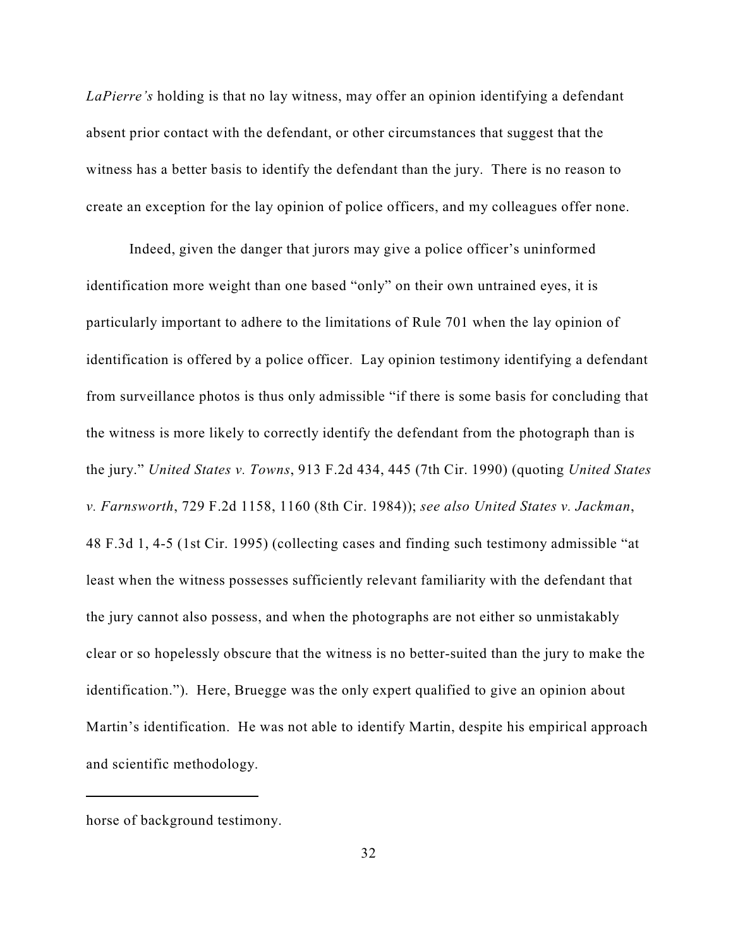*LaPierre's* holding is that no lay witness, may offer an opinion identifying a defendant absent prior contact with the defendant, or other circumstances that suggest that the witness has a better basis to identify the defendant than the jury. There is no reason to create an exception for the lay opinion of police officers, and my colleagues offer none.

Indeed, given the danger that jurors may give a police officer's uninformed identification more weight than one based "only" on their own untrained eyes, it is particularly important to adhere to the limitations of Rule 701 when the lay opinion of identification is offered by a police officer. Lay opinion testimony identifying a defendant from surveillance photos is thus only admissible "if there is some basis for concluding that the witness is more likely to correctly identify the defendant from the photograph than is the jury." *United States v. Towns*, 913 F.2d 434, 445 (7th Cir. 1990) (quoting *United States v. Farnsworth*, 729 F.2d 1158, 1160 (8th Cir. 1984)); *see also United States v. Jackman*, 48 F.3d 1, 4-5 (1st Cir. 1995) (collecting cases and finding such testimony admissible "at least when the witness possesses sufficiently relevant familiarity with the defendant that the jury cannot also possess, and when the photographs are not either so unmistakably clear or so hopelessly obscure that the witness is no better-suited than the jury to make the identification."). Here, Bruegge was the only expert qualified to give an opinion about Martin's identification. He was not able to identify Martin, despite his empirical approach and scientific methodology.

horse of background testimony.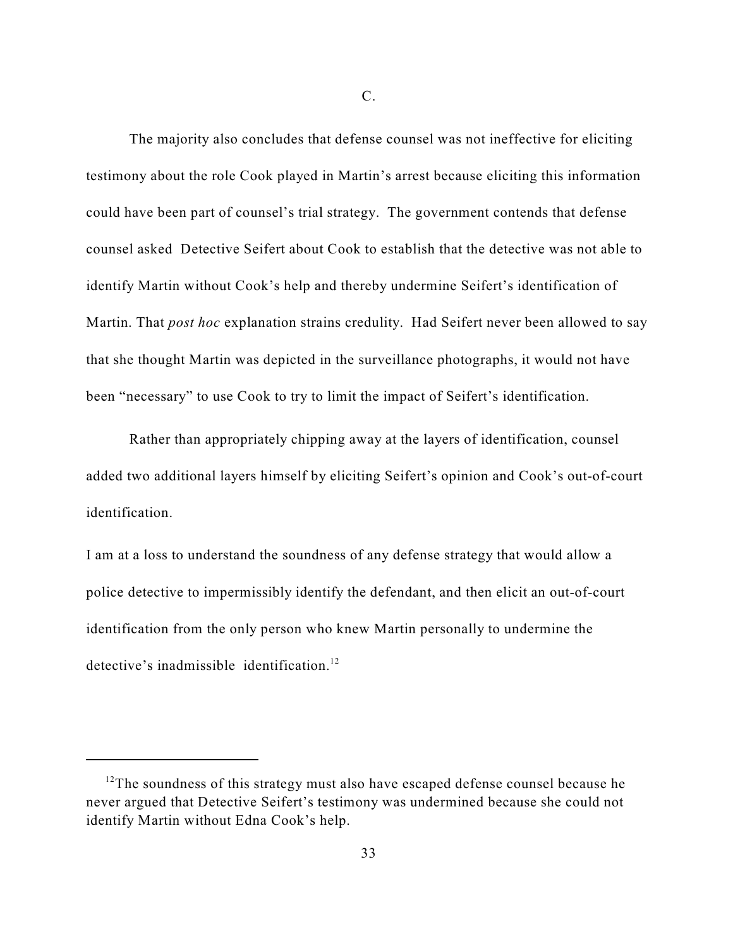The majority also concludes that defense counsel was not ineffective for eliciting testimony about the role Cook played in Martin's arrest because eliciting this information could have been part of counsel's trial strategy. The government contends that defense counsel asked Detective Seifert about Cook to establish that the detective was not able to identify Martin without Cook's help and thereby undermine Seifert's identification of Martin. That *post hoc* explanation strains credulity. Had Seifert never been allowed to say that she thought Martin was depicted in the surveillance photographs, it would not have been "necessary" to use Cook to try to limit the impact of Seifert's identification.

Rather than appropriately chipping away at the layers of identification, counsel added two additional layers himself by eliciting Seifert's opinion and Cook's out-of-court identification.

I am at a loss to understand the soundness of any defense strategy that would allow a police detective to impermissibly identify the defendant, and then elicit an out-of-court identification from the only person who knew Martin personally to undermine the detective's inadmissible identification.<sup>12</sup>

 $12$ <sup>12</sup>The soundness of this strategy must also have escaped defense counsel because he never argued that Detective Seifert's testimony was undermined because she could not identify Martin without Edna Cook's help.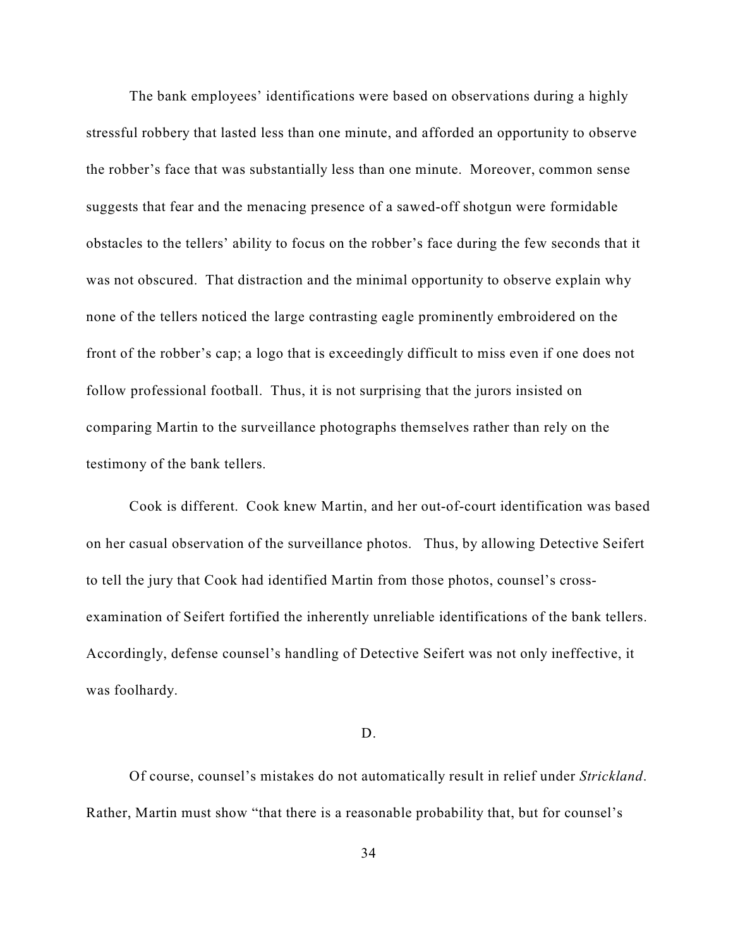The bank employees' identifications were based on observations during a highly stressful robbery that lasted less than one minute, and afforded an opportunity to observe the robber's face that was substantially less than one minute. Moreover, common sense suggests that fear and the menacing presence of a sawed-off shotgun were formidable obstacles to the tellers' ability to focus on the robber's face during the few seconds that it was not obscured. That distraction and the minimal opportunity to observe explain why none of the tellers noticed the large contrasting eagle prominently embroidered on the front of the robber's cap; a logo that is exceedingly difficult to miss even if one does not follow professional football. Thus, it is not surprising that the jurors insisted on comparing Martin to the surveillance photographs themselves rather than rely on the testimony of the bank tellers.

Cook is different. Cook knew Martin, and her out-of-court identification was based on her casual observation of the surveillance photos. Thus, by allowing Detective Seifert to tell the jury that Cook had identified Martin from those photos, counsel's crossexamination of Seifert fortified the inherently unreliable identifications of the bank tellers. Accordingly, defense counsel's handling of Detective Seifert was not only ineffective, it was foolhardy.

### D.

Of course, counsel's mistakes do not automatically result in relief under *Strickland*. Rather, Martin must show "that there is a reasonable probability that, but for counsel's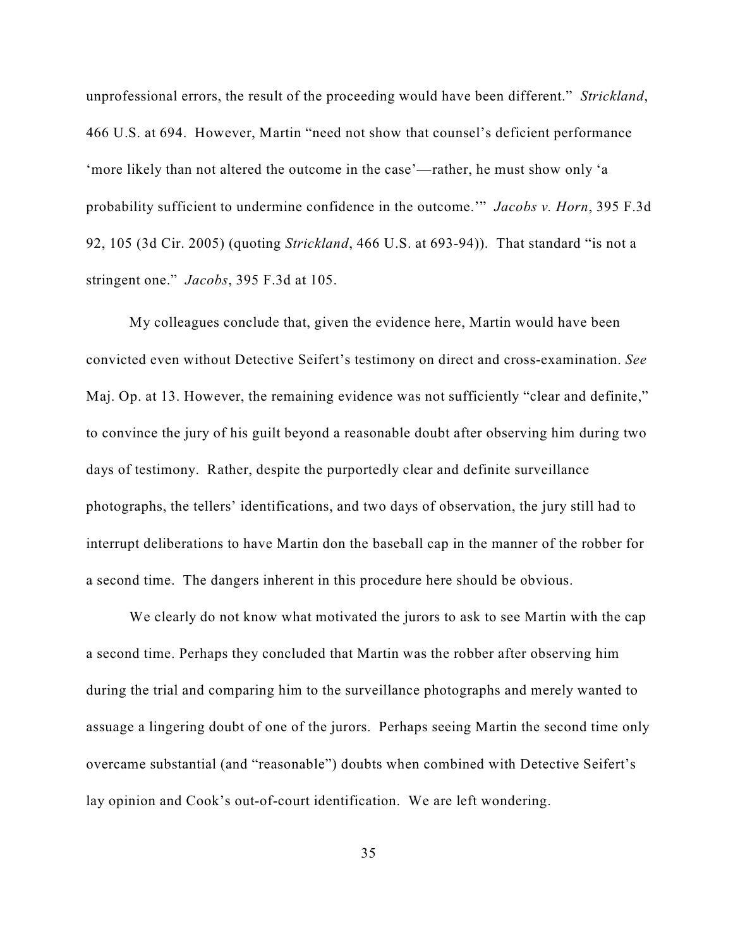unprofessional errors, the result of the proceeding would have been different." *[Strickland](http://web2.westlaw.com/find/default.wl?rs=WLW7.06&serialnum=1984123336&fn=_top&sv=Split&tc=-1&findtype=Y&tf=-1&db=708&vr=2.0&rp=%2ffind%2fdefault.wl&mt=Westlaw)*, [466 U.S. at 694](http://web2.westlaw.com/find/default.wl?rs=WLW7.06&serialnum=1984123336&fn=_top&sv=Split&tc=-1&findtype=Y&tf=-1&db=708&vr=2.0&rp=%2ffind%2fdefault.wl&mt=Westlaw). However, Martin "need not show that counsel's deficient performance 'more likely than not altered the outcome in the case'—rather, he must show only 'a probability sufficient to undermine confidence in the outcome.'" *[Jacobs v. Horn](http://web2.westlaw.com/find/default.wl?tf=-1&rs=WLW7.06&referencepositiontype=S&serialnum=2006065783&fn=_top&sv=Split&tc=-1&findtype=Y&referenceposition=105&db=506&vr=2.0&rp=%2ffind%2fdefault.wl&mt=Westlaw)*, 395 F.3d [92, 105](http://web2.westlaw.com/find/default.wl?tf=-1&rs=WLW7.06&referencepositiontype=S&serialnum=2006065783&fn=_top&sv=Split&tc=-1&findtype=Y&referenceposition=105&db=506&vr=2.0&rp=%2ffind%2fdefault.wl&mt=Westlaw) (3d Cir. 2005) (quoting *Strickland*[, 466 U.S. at 693-94\)\).](http://web2.westlaw.com/find/default.wl?rs=WLW7.06&serialnum=1984123336&fn=_top&sv=Split&tc=-1&findtype=Y&tf=-1&db=708&vr=2.0&rp=%2ffind%2fdefault.wl&mt=Westlaw) That standard "is not a stringent one." *Jacobs*, 395 F.3d at 105.

My colleagues conclude that, given the evidence here, Martin would have been convicted even without Detective Seifert's testimony on direct and cross-examination. *See* Maj. Op. at 13. However, the remaining evidence was not sufficiently "clear and definite," to convince the jury of his guilt beyond a reasonable doubt after observing him during two days of testimony. Rather, despite the purportedly clear and definite surveillance photographs, the tellers' identifications, and two days of observation, the jury still had to interrupt deliberations to have Martin don the baseball cap in the manner of the robber for a second time. The dangers inherent in this procedure here should be obvious.

We clearly do not know what motivated the jurors to ask to see Martin with the cap a second time. Perhaps they concluded that Martin was the robber after observing him during the trial and comparing him to the surveillance photographs and merely wanted to assuage a lingering doubt of one of the jurors. Perhaps seeing Martin the second time only overcame substantial (and "reasonable") doubts when combined with Detective Seifert's lay opinion and Cook's out-of-court identification. We are left wondering.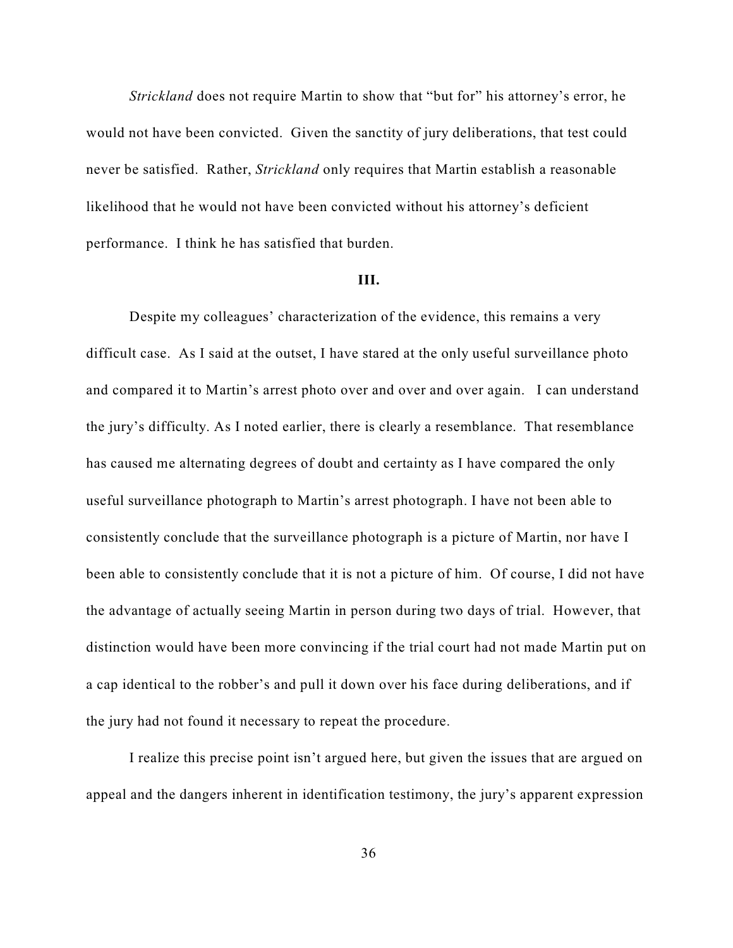*Strickland* does not require Martin to show that "but for" his attorney's error, he would not have been convicted. Given the sanctity of jury deliberations, that test could never be satisfied. Rather, *Strickland* only requires that Martin establish a reasonable likelihood that he would not have been convicted without his attorney's deficient performance. I think he has satisfied that burden.

#### **III.**

Despite my colleagues' characterization of the evidence, this remains a very difficult case. As I said at the outset, I have stared at the only useful surveillance photo and compared it to Martin's arrest photo over and over and over again. I can understand the jury's difficulty. As I noted earlier, there is clearly a resemblance. That resemblance has caused me alternating degrees of doubt and certainty as I have compared the only useful surveillance photograph to Martin's arrest photograph. I have not been able to consistently conclude that the surveillance photograph is a picture of Martin, nor have I been able to consistently conclude that it is not a picture of him. Of course, I did not have the advantage of actually seeing Martin in person during two days of trial. However, that distinction would have been more convincing if the trial court had not made Martin put on a cap identical to the robber's and pull it down over his face during deliberations, and if the jury had not found it necessary to repeat the procedure.

I realize this precise point isn't argued here, but given the issues that are argued on appeal and the dangers inherent in identification testimony, the jury's apparent expression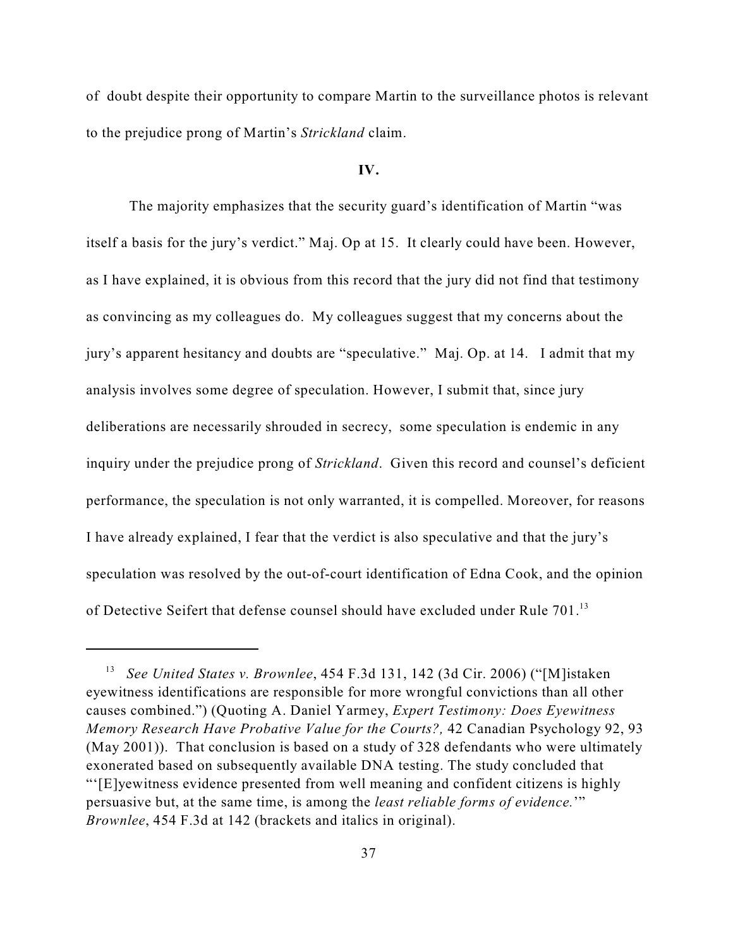of doubt despite their opportunity to compare Martin to the surveillance photos is relevant to the prejudice prong of Martin's *Strickland* claim.

## **IV.**

The majority emphasizes that the security guard's identification of Martin "was itself a basis for the jury's verdict." Maj. Op at 15. It clearly could have been. However, as I have explained, it is obvious from this record that the jury did not find that testimony as convincing as my colleagues do. My colleagues suggest that my concerns about the jury's apparent hesitancy and doubts are "speculative." Maj. Op. at 14.I admit that my analysis involves some degree of speculation. However, I submit that, since jury deliberations are necessarily shrouded in secrecy, some speculation is endemic in any inquiry under the prejudice prong of *Strickland*. Given this record and counsel's deficient performance, the speculation is not only warranted, it is compelled. Moreover, for reasons I have already explained, I fear that the verdict is also speculative and that the jury's speculation was resolved by the out-of-court identification of Edna Cook, and the opinion of Detective Seifert that defense counsel should have excluded under Rule 701.<sup>13</sup>

*See United States v. Brownlee*, 454 F.3d 131, 142 (3d Cir. 2006) ("[M]istaken eyewitness identifications are responsible for more wrongful convictions than all other causes combined.") (Quoting A. Daniel Yarmey, *Expert Testimony: Does Eyewitness Memory Research Have Probative Value for the Courts?,* 42 Canadian Psychology 92, 93 (May 2001)). That conclusion is based on a study of 328 defendants who were ultimately exonerated based on subsequently available DNA testing. The study concluded that "'[E]yewitness evidence presented from well meaning and confident citizens is highly persuasive but, at the same time, is among the *least reliable forms of evidence.*'" *Brownlee*, 454 F.3d at 142 (brackets and italics in original).